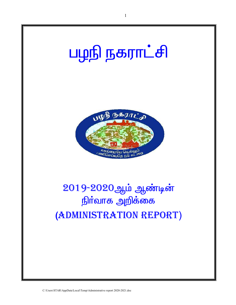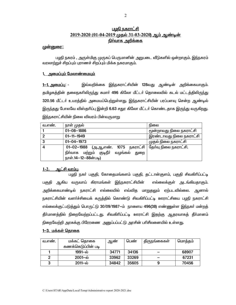# <u>பழநி நகராட்சி</u> 2019-2020 (01-04-2019 முதல் 31-03-2020) ஆம் ஆண்டின் நிர்வாக அறிக்கை

## <u>முன்னுரை:</u>

பமநி நகரம் , அருள்மிகு முருகப் பெருமானின் அறுபடை வீடுகளில் ஒன்றாகும். இந்நகரம் வரலாற்றுச் சிறப்பும் புராணச் சிறப்பும் மிக்க நகரமாகும்.

## 1<u>. அமைப்பும் மேலாண்மையும்</u>

இவ்வறிக்கை இந்நகராட்சியின் 128வது ஆண்டின் அறிக்கையாகும். <u>1—1. அமைப்பு: -</u> தமிழகத்தின் தலைநகரிலிருந்து சுமார் 496 கிலோ மீட்டர் தொலைவில் கடல் மட்டத்திலிருந்து 320.56 மீட்டா் உயரத்தில் அமையப்பெற்றுள்ளது. இந்நகராட்சியின் பரப்பளவு சென்ற ஆண்டில் <u>இருந்தது</u> போலவே விஸ்தரிப்பு இன்றி **6.63** சதுர கிலோ மீட்டர் கொண்டதாக இரு<u>ந்து</u> வருகிறது. இந்நகராட்சியின் நிலை விவரம் பின்வருமாறு

| வ.எண். | நாள் முதல்                                                                                                        | நிலை                    |
|--------|-------------------------------------------------------------------------------------------------------------------|-------------------------|
|        | $01 - 08 - 1886$                                                                                                  | மூன்றாவது நிலை நகராட்சி |
| 2      | $01 - 11 - 1949$                                                                                                  | இரண்டாவது நிலை நகராட்சி |
| 3      | $01 - 04 - 1973$                                                                                                  | முதல் நிலை நகராட்சி     |
| 4      | $01 - 02 - 1988$<br>(அ.ஆ,எண். 1075 நகராட்சி<br>நிா்வாக மற்றும் குடிநீா்<br>வழங்கல்<br>துறை<br>நாள்.14-12-88ன்படி) | தேர்வு நிலை நகராட்சி.   |

#### $1-2.$ <u>ஆட்சி வரம்பு.</u>

பழநி நகர் பகுதி, கோதைமங்களம் பகுதி, தட்டான்குளம், பகுதி சிவகிரிப்பட்டி பகுதி ஆகிய வருவாய் கிராமங்கள் இந்நகராட்சியின் எல்லைக்குள் அடங்கியதாகும். அறிக்கையாண்டில் நகராட்சி எல்லையில் எவ்வித மாறுதலும் ஏற்படவில்லை. ஆனால் நகராட்சியின் வளா்ச்சியைக் கருத்தில் கொண்டு சிவகிாிப்பட்டி ஊராட்சியை பழநி நகராட்சி எல்லைக்குட்படுத்தும் பொருட்டு 30/09/1987—ம் நாளைய 496(38) எண்ணுள்ள இந்நகா் மன்றத் தீா்மானத்தில் நிறைவேற்றப்பட்டது. சிவகிாிப்பட்டி ஊராட்சி இதற்கு ஆதரவாகத் தீா்மானம் நிறைவேற்றி அரசுக்கு பிரேரணை அனுப்பப்பட்டு அரசின் பரிசீலனையில் உள்ளது.

## <u>1—3. மக்கள் தொகை</u>

| வ.எண. | மக்கட் தொகை           | ஆண்   | பெண்  | திருநங்கைகள் | மொத்தம் |
|-------|-----------------------|-------|-------|--------------|---------|
|       | கணக்கெடுப்பின் படி    |       |       |              |         |
|       | 1991—ல்               | 34771 | 34136 |              | 68907   |
|       | $2001 - \omega$       | 33962 | 33269 |              | 67231   |
|       | $2011 - \dot{\omega}$ | 34842 | 35605 |              | 70456   |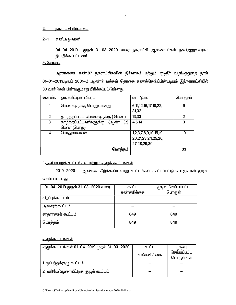#### <u>நகராட்சி நிர்வாகம்</u>  $2.$

#### $2 - 1$ தனி<u>அலு</u>வலா்

04-04-2019– முதல் 31-03–2020 வரை நகராட்சி ஆணையா்கள் தனிஅலுவலராக நியமிக்கப்பட்டனர்.

## 3. தேர்தல்

அரசாணை எண்.87 நகராட்சிகளின் நிா்வாகம் மற்றும் குடிநீா் வழங்குதுறை நாள் 01-01-2011படியும் 2001-ம் ஆண்டு மக்கள் தொகை கணக்கெடுப்பின்படியும் இந்நகராட்சியில் 33 வார்டுகள் பின்வருமாறு பிரிக்கப்பட்டுள்ளது.

| வ.எண.          | ஒதுக்கீட்டின் விபரம்                   | வாா்டுகள்                  | மொத்தம் |
|----------------|----------------------------------------|----------------------------|---------|
| 1              | பெண்களுக்கு பொதுவானது                  | 6, 11, 12, 16, 17, 18, 22, | 9       |
|                |                                        | 31,32                      |         |
| $\overline{2}$ | தாழ்த்தப்பட்ட பெண்களுக்கு (பெண்)       | 13,33                      | 2       |
| 3              | தாழ்த்தப்பட்டவர்களுக்கு<br>(山)<br>(ஆண் | 4,5,14                     | 3       |
|                | பெண் (பொது)                            |                            |         |
| 4              | பொதுவானவை                              | 1,2,3,7,8,9,10,15,19,      | 19      |
|                |                                        | 20,21,23,24,25,26,         |         |
|                |                                        | 27,28,29,30                |         |
|                | மொத்தம்                                |                            | 33      |
|                |                                        |                            |         |

# 4.நகர் மன்றக் கூட்டங்கள் மற்றும் குழுக் கூட்டங்கள்

2019-2020-ம் ஆண்டில் கீழ்க்கண்டவாறு கூட்டங்கள் கூட்டப்பட்டு பொருள்கள் முடிவு செய்யப்பட்டது.

| 01-04-2019 முதல் 31-03-2020 வரை | ௬ட        | முடிவு செய்யப்பட்ட<br>பொருள் |
|---------------------------------|-----------|------------------------------|
|                                 | எண்ணிக்கை |                              |
| சிறப்புக்கூட்டம்                |           |                              |
| அவசரக்கூட்டம்                   |           |                              |
| சாதாரணக் கூட்டம்                | 849       | 849                          |
| மொத்தம்                         | 849       | 849                          |

# <u>குழுக்கூட்டங்கள்</u>

| குழுக்கூட்டங்கள் 01-04-2019 முதல் 31-03-2020 | ௬ட        | (முடிவு     |
|----------------------------------------------|-----------|-------------|
|                                              | எண்ணிக்கை | செய்யப்பட்ட |
|                                              |           | பொருள்கள்   |
| 1. ஓப்பந்தக்குழு கூட்டம்                     |           |             |
| 2, வரிமேல்முறையீட்டுக் குழுக் கூட்டம்        |           |             |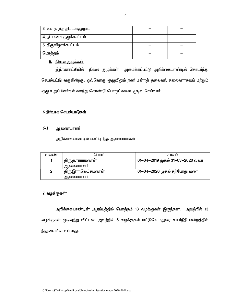| <sup> </sup> 3, உள்ளூா்த் திட்டக்குழுமம் |  |
|------------------------------------------|--|
| 4, நியமனக்குழுக்கூட்டம்                  |  |
| 5. திருவிழாக்கூட்டம்                     |  |
| மொத்தம்                                  |  |

# 5. நிலை குழுக்கள்

இந்நகராட்சியில் நிலை குழுக்கள் அமைக்கப்பட்டு அறிக்கையாண்டில் தொடா்ந்து செயல்பட்டு வருகின்றது. ஒவ்வொரு குழுவிலும் நகா் மன்றத் தலைவா், தலைவராகவும் மற்றும் குழு உறுப்பினர்கள் கலந்து கொண்டு பொருட்களை முடிவு செய்வார்.

# <u>6.நிர்வாக செயல்பாடுகள்</u>

#### $6-1$ <u>ஆணையாளர்</u>

அறிக்கையாண்டில் பணிபுரிந்த ஆணையா்கள்

| வ.எண | பெயர்               | காலம                            |
|------|---------------------|---------------------------------|
|      | திரு.த.நாராயணன்     | 01-04-2019 முதல் 31-03-2020 வரை |
|      | ஆணையாளா்            |                                 |
| 2    | திரு.இரா.லெட்சுமணன் | 01-04–2020 முதல் தற்போது வரை    |
|      | ஆணையாளா             |                                 |

# <u>7. வழக்குகள்:</u>

அறிக்கையாண்டின் ஆரம்பத்தில் மொத்தம் 18 வழக்குகள் இருந்தன. அவற்றில் 13 வழக்குகள் முடிவுற்று விட்டன. அவற்றில் 5 வழக்குகள் மட்டுமே மதுரை உயர்நீதி மன்றத்தில் நிலுவையில் உள்ளது.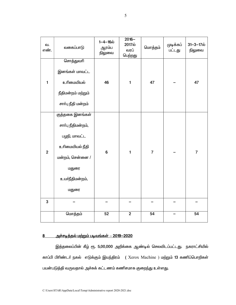| வ.<br>எண்.              | வகைப்பாடு          | $1 - 4 - 16$ ல்<br>ஆரம்ப<br>நிலுவை | $2016 -$<br>2017ல்<br>வரப்<br>பெற்றது | மொத்தம்        | முடிக்கப்<br>பட்டது | $31 - 3 - 17$ ல்<br>நிலுவை |
|-------------------------|--------------------|------------------------------------|---------------------------------------|----------------|---------------------|----------------------------|
|                         | சொத்துவரி          |                                    |                                       |                |                     |                            |
|                         | இனங்கள் மாவட்ட     |                                    |                                       |                |                     |                            |
| $\mathbf{1}$            | உரிமையியல்         | 46                                 | $\mathbf{1}$                          | 47             |                     | 47                         |
|                         | நீதிமன்றம் மற்றும் |                                    |                                       |                |                     |                            |
|                         | சாா்பு நீதி மன்றம் |                                    |                                       |                |                     |                            |
|                         | குத்தகை இனங்கள்    |                                    |                                       |                |                     |                            |
|                         | சாா்பு நீதிமன்றம், |                                    |                                       |                |                     |                            |
|                         | பழநி, மாவட்ட       |                                    |                                       |                |                     |                            |
| $\overline{\mathbf{2}}$ | உரிமையியல் நீதி    | $\bf 6$                            | $\mathbf{1}$                          | $\overline{7}$ |                     | $\overline{7}$             |
|                         | மன்றம், சென்னை /   |                                    |                                       |                |                     |                            |
|                         | மதுரை              |                                    |                                       |                |                     |                            |
|                         | உயா்நீதிமன்றம்,    |                                    |                                       |                |                     |                            |
|                         | மதுரை              |                                    |                                       |                |                     |                            |
| $\mathbf 3$             |                    |                                    |                                       |                |                     |                            |
|                         | மொத்தம்            | 52                                 | $\mathbf{2}$                          | 54             |                     | 54                         |

#### <u> அச்சடித்தல் மற்றும் படிவங்கள் – 2019–2020</u>  $8$

இத்தலைப்பின் கீழ் ரூ. 5,00,000 அறிக்கை ஆண்டில் செலவிடப்பட்டது. நகராட்சியில் காப்பி பிரிண்டர் நகல் எடுக்கும் இயந்திரம் (Xerox Machine ) மற்றும் 13 கணிப்பொறிகள் பயன்படுத்தி வருவதால் அச்சுக் கட்டணம் கணிசமாக குறைந்து உள்ளது.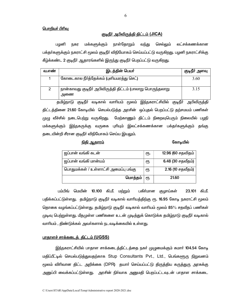## <u> பொறியர் பிரிவு</u>

### குடிநீர் அபிவிருத்தி திட்டம் (JICA)

மக்களுக்கும் நாள்தோறும் பழனி வந்து செல்லும் லட்சக்கணக்கான நகர பக்தா்களுக்கும் நகராட்சி மூலம் குடிநீா் விநியோகம் செய்யப்பட்டு வருகிறது. பழனி நகராட்சிக்கு கீழ்க்கண்ட 2 குடிநீா் ஆதாரங்களில் இருந்து குடிநீா் பெறப்பட்டு வருகிறது.

| வ.எண | இடத்தின் பெயர்                                                    | குடிநீா் அளவு |
|------|-------------------------------------------------------------------|---------------|
|      | கோடைகால நீா்த்தேக்கம் (புளியமரத்து செட்)                          | 3.60          |
|      | நான்காவது குடிநீா் அபிவிருத்தி திட்டம் (பாலாறு பொருந்தலாறு<br>அணை | 3.15          |

தமிழ்நாடு குடிநீா் வடிகால் வாாியம் மூலம் இந்நகராட்சியில் குடிநீா் அபிவிருத்தி திட்டத்தினை 21.60 கோடியில் செயல்படுத்த அரசின் ஒப்புதல் பெறப்பட்டு தற்சமயம் பணிகள் முழு வீச்சில் நடைபெற்று வருகிறது. மேற்காணும் திட்டம் நிறைவுபெரும் நிலையில் பழநி மக்களுக்கும் இந்நகருக்கு வருகை புரியும் இலட்சக்கணக்கான பக்தா்களுக்கும் தங்கு தடையின்றி சீரான குடிநீா் விநியோகம் செய்ய இயலும்.

### <u>நிதி ஆதாரம்</u>

### கோடியில்

| ஜப்பான் வங்கி கடன்                   | ரூ. | 12.96 (60 சதவிதம் |
|--------------------------------------|-----|-------------------|
| ஜப்பான் வங்கி மான்யம்                | ரூ  | 6.48 (30 சதவீதம்) |
| பொதுமக்கள் / உள்ளாட்சி அமைப்பு பங்கு | ęҧ  | 2.16 (10 சதவீதம்) |
| மொத்தம்                              | €Ҧ  | 21.60             |

பம்பிங் மெயின் 10.100 கி.மீ. மற்றும் பகிா்மான குழாய்கள் 23.101 கி.மீ. பதிக்கப்பட்டுள்ளது. தமிழ்நாடு குடிநீா் வடிகால் வாாியத்திற்கு ரூ. 16.95 கோடி நகராட்சி மூலம் தொகை வழங்கப்பட்டுள்ளது. தமிழ்நாடு குடிநீர் வடிகால் வாரியம் மூலம் 85% சதவீதப் பணிகள் முடிவு பெற்றுள்ளது. மீதமுள்ள பணிகளை உடன் முடித்துக் கொடுக்க தமிழ்நாடு குடிநீர் வடிகால் வாரியம் , திண்டுக்கல் அவர்களால் நடவடிக்கையில் உள்ளது.

## <u>பாதாளச் சாக்கடைத் திட்டம் (UGSS)</u>

இந்நகராட்சியில் பாதாள சாக்கடைத்திட்டத்தை நகர் முழுமைக்கும் சுமார் 104.54 கோடி மதிப்பீட்டில் செயல்படுத்துவதற்காக Stup Consultants Pvt., Ltd., பெங்களூரு நிறுவனம் மூலம் விரிவான திட்ட அறிக்கை (DPR) தயாா் செய்யப்பட்டு திருத்திய கருத்துரு அரசுக்கு அனுப்பி வைக்கப்பட்டுள்ளது. அரசின் நிா்வாக அனுமதி பெறப்பட்டவுடன் பாதாள சாக்கடை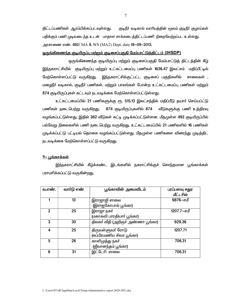கிட்டப்பணிகள் ஆரம்பிக்கப்படவுள்ளகு. குடிநீா் வடிகால் வாாியத்தின் மூலம் குடிநீா் குழாய்கள் பதிக்கும் பணி முடிவடைந்த உடன் பாதாள சாக்கடைத்திட்டப்பணி நிறைவேற்றப்பட உள்ளது. அரசாணை எண். 492/ MA & WS (MA2) Dept. date 19-09-2013.

### <u>ஒருங்கிணைந்த குடியிருப்பு மற்றும் குடிசைப்பகுதி மேம்பாட்டுத்திட்டம் (IHSDP)</u>

ஒருங்கிணைந்த குடியிருப்பு மற்றும் குடிசைப்பகுதி மேம்பாட்டுத் திட்டத்தின் கீழ் இந்நகராட்சியில் குடியிருப்பு மற்றும் உட்கட்டமைப்பு பணிகள் 1636.47 இலட்சம் மதிப்பீட்டில் மேற்கொள்ளப்பட்டு வருகிறது. இந்நகராட்சிக்குட்பட்ட குடிசைப் பகுதிகளில் சாலைகள் , மழைநீர் வடிகால், குடிநீர் பணிகள், மற்றும் பாலங்கள் போன்ற உட்கட்டமைப்பு பணிகள் மற்றும் 874 குடியிருப்புகள் கட்டவும் நடவடிக்கை மேற்கொள்ளப்பட்டுள்ளது.

உட்கட்டமைப்பில் 21 பணிகளுக்கு ரூ. 515.13 இலட்சத்தில் மதிப்பீடு தயாா் செய்யப்ட்டு பணிகள் நடைபெற்று வருகிறது. 874 குடியிருப்புகளில் 874 வீடுகளுக்கு பணி உத்திரவு வழங்கப்பட்டுள்ளது. இதில் 382 வீடுகள் கட்டி முடிக்கப்பட்டுள்ளன. மீதமுள்ள 492 குடியிருப்பில் பல்வேறு நிலைகளில் பணி நடைபெற்று வருகிறது. உட்கட்டமைப்பில் 21 பணிகளில் 16 பணிகள் முடிக்கப்பட்டு பட்டியல் தொகை வழங்கப்பட்டுள்ளது. மீதமுள்ள பணிகளை விரைந்து முடித்திட நடவடிக்கை மேற்கொள்ளப்பட்டு வருகிறது.

### <u>9– பங்காக்கள்</u>

இந்நகராட்சியில் கீழ்க்கண்ட இடங்களில் நகராட்சிக்குச் சொந்தமான பூங்காக்கள் பராமாிக்கப்பட்டு வருகின்றது.

| வ.எண். | வார்டு எண் | பூங்காவின் அமைவிடம்               | பரப்பளவு சதுர<br>மீட்டரில் |
|--------|------------|-----------------------------------|----------------------------|
|        | 13         | இராஜாஜி சாலை                      | 9876-சமீ                   |
|        |            | (இராஜகோபால் பூங்கா)               |                            |
| 2      | 25         | இராஜா நகர்                        | 1207.7-சமீ                 |
|        |            | (மகாகவி பாரதியாா் பூங்கா)         |                            |
| 3      | 30         | திலகா் வீதி (அறிஞா் அண்ணா பூங்கா) | 929.36                     |
| 4      | 25         | திருவள்ளுவா் ரோடு                 | 1207.71                    |
|        |            | (சுப்பிரமணிய சிவா பூங்கா)         |                            |
| 5      | 26         | காளிமுத்து நகர்                   | 706.31                     |
|        |            | (ஜீவானந்தம் பூங்கா)               |                            |
| 6      | 31         | இட்டேரி சாலை                      | 706.31                     |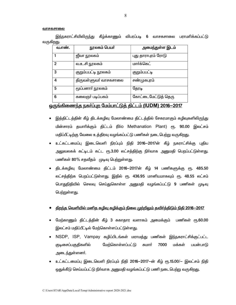#### வாசகசாலை

இந்நகராட்சியிலிருந்து கீழ்க்காணும் விபரப்படி 6 வாசகசாலை பராமரிக்கப்பட்டு வருகிறது.

| வ.எண்.       | நூலகம் பெயர்          | அமைந்துள்ள இடம்     |
|--------------|-----------------------|---------------------|
|              | ஜீவா நூலகம்           | புது தாராபுரம் ரோடு |
| $\mathbf{2}$ | வ.உ.சி நூலகம்         | மார்க்கெட்          |
| 3            | குறும்பபட்டி நூலகம்   | குறும்பபட்டி        |
| 4            | திருவள்ளுவா் வாசகசாலை | சண்முகபுரம்         |
| 5            | மூப்பனாா் நூலகம்      | தேரடி               |
| 6            | கலைஞா் படிப்பகம்      | கோட்டைமேட்டுத் தெரு |

# <u>ஒருங்கிணைந்த நகர்ப்புற மேம்பாட்டுத் திட்டம் (IUDM) 2016-2017</u>

- இத்திட்டத்தின் கீழ் திடக்கழிவு மேலாண்மை திட்டத்தில் சேகரமாகும் கழிவுகளிலிருந்து பின்சாரம் தயாரிக்கும் திட்டம் (Bio Methanation Plant) ரூ. 90.00 இலட்சம் மதிப்பீட்டிற்கு வேலை உத்திரவு வழங்கப்பட்டு பணிகள் நடைபெற்று வருகிறது.
- உட்கட்டமைப்பு இடைவெளி நிரப்பும் நிதி 2016-2017ன் கீழ் நகராட்சிக்கு புதிய அலுவலகக் கட்டிடம் கட்ட ரூ.3.00 லட்சத்திற்கு நிர்வாக அனுமதி பெறப்பட்டுள்ள<u>த</u>ு. பணிகள் 80% சதவீதம் முடிவு பெற்றுள்ளது.
- திடக்கழிவு மேலாண்மை திட்டம் 2016-2017ன் கீழ் 14 பணிகளுக்கு ரூ. 485.50 லட்சத்திற்க பெறப்பட்டுள்ளது. இதில் ரூ. 436.95 மானியமாகவும் ரூ. 48.55 லட்சம் பொதுநிதியில் செலவு செய்துகொள்ள அனுமதி வழங்கப்பட்டு 9 பணிகள் முடிவு பெற்றுள்ளது.

### திறந்த வெளியில் மனித கழிவு கழிக்கும் நிலை முற்றிலும் தவிர்த்திடும் நிதி 2016—2017

- மேற்காணும் திட்டத்தின் கீழ் 3 சுகாதார வளாகம் அமைக்கும் பணிகள் ரூ.60.00 இலட்சம் மதிப்பீட்டில் மேற்கொள்ளப்பட்டுள்ளது.
- NSDP, ISP, Vampay கழிப்பிடங்கள் மராமத்து பணிகள் இந்நகராட்சிக்குட்பட்ட குடிசைப்பகுதிகளில் மேற்கொள்ளப்பட்டு சுமார் 7000 மக்கள் பயன்பாடு அடைந்துள்ளனர்.
- உட்கட்டமைப்பு இடைவெளி நிரப்பும் நிதி 2016-2017-ன் கீழ் ரூ.15.00/– இலட்சம் நிதி ஒதுக்கீடு செய்யப்பட்டு நிா்வாக அனுமதி வழங்கப்பட்டு பணி நடைபெற்று வருகிறது.<br>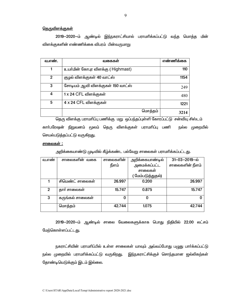## <u>தெருவிளக்குகள்</u>

2019–2020–ம் ஆண்டில் இந்நகராட்சியால் பராமாிக்கப்பட்டு வந்த மொத்த மின் விளக்குகளின் எண்ணிக்கை விபரம் பின்வருமாறு

| வ.எண். | வகைகள                              | எண்ணிக்கை |
|--------|------------------------------------|-----------|
|        | உயர்மின் கோபுர விளக்கு ( Highmast) | 110       |
| 2      | குழல் விளக்குகள் 40 வாட்ஸ்         | 1154      |
| 3      | சோடியம் ஆவி விளக்குகள் 150 வாட்ஸ்  | 249       |
| 4      | 1 x 24 CFL விளக்குகள்              | 480       |
| 5      | 4 x 24 CFL விளக்குகள்              | 1221      |
|        | மொத்தம்                            | 3214      |

தெரு விளக்கு பராமரிப்பு பணிக்கு மறு ஒப்பந்தப்புள்ளி கோரப்பட்டு சன்வியு சிஸ்டம் காா்பரேஷன் நிறுவனம் மூலம் தெரு விளக்குகள் பராமாிப்பு பணி நல்ல முறையில் செயல்படுத்தப்பட்டு வருகிறது.

#### <u> சாலைகள் :</u>

அறிக்கையாண்டு முடிவில் கீழ்க்கண்ட பல்வேறு சாலைகள் பராமரிக்கப்பட்டது.

| வ.எண்          | சாலைகளின் வகை    | சாலைகளின் | அறிக்கையாண்டில்   | $31 - 03 - 2019 - \omega$ |
|----------------|------------------|-----------|-------------------|---------------------------|
|                |                  | நீளம்     | அமைக்கப்பட்ட      | சாலைகளின் நீளம்           |
|                |                  |           | சாலைகள்           |                           |
|                |                  |           | ( மேம்படுத்துதல்) |                           |
|                | சிமெண்ட் சாலைகள் | 26.997    | 0.200             | 26.997                    |
| $\overline{2}$ | தார் சாலைகள்     | 15.747    | 0.875             | 15.747                    |
| 3              | கருங்கல் சாலைகள் | 0         |                   |                           |
|                | மொத்தம்          | 42.744    | 1.075             | 42.744                    |

2019-2020-ம் ஆண்டில் சாலை வேலைகளுக்காக பொது நிதியில் 22.00 லட்சம் மேற்கொள்ளப்பட்டது.

நகராட்சியின் பராமாிப்பில் உள்ள சாலைகள் யாவும் அவ்வப்போது பழுது பார்க்கப்பட்டு நல்ல முறையில் பராமாிக்கப்பட்டு வருகிறது. இந்நகராட்சிக்குச் சொந்தமான ஜல்லிகற்கள் தோண்டியெடுக்கும் இடம் இல்லை.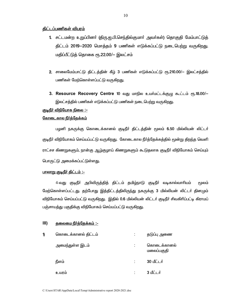## <u> திட்டப்பணிகள் விபரம்</u>

- 1. சட்டமன்ற உறுப்பினா் (திரு.ஐ.பி.செந்தில்குமாா் அவா்கள்) தொகுதி மேம்பாட்டுத் திட்டம் 2019—2020 மொத்தம் 9 பணிகள் எடுக்கப்பட்டு நடைபெற்று வருகிறது. மதிப்பீட்டுத் தொகை ரூ.22.00/— இலட்சம்
- 2. சாலைமேம்பாட்டு திட்டத்தின் கீழ் 3 பணிகள் எடுக்கப்பட்டு ரூ.210.00/– இலட்சத்தில் பணிகள் மேற்கொள்ளப்பட்டு வருகிறது.
- 3. Resource Recovery Centre 10 வது மாநில உயர்மட்டக்குழு கூட்டம் ரூ.18.00/-இலட்சத்தில் பணிகள் எடுக்கப்பட்டு பணிகள் நடைபெற்று வருகிறது.

# <u> குடிநீர் விநியோக நிலை :-</u>

## <u>கோடைகால நீர்த்தேக்கம்</u>

பழனி நகருக்கு கொடைக்கானல் குடிநீா் திட்டத்தின் மூலம் 6.50 மில்லியன் லிட்டா் குடிநீா் விநியோகம் செய்யப்பட்டு வருகிறது. கோடைகால நீா்த்தேக்கத்தில் மூன்று திறந்த வெளி ராட்சச கிணறுகளும், நான்கு ஆழ்குழாய் கிணறுகளும் கூடுதலாக குடிநீா் விநியோகம் செய்யும் பொருட்டு அமைக்கப்பட்டுள்ளது.

### <u> பாலாறு குடிநீர் திட்டம் :-</u>

4-வது குடிநீா் அபிவிருத்தித் திட்டம் தமிழ்நாடு குடிநீா் வடிகால்வாாியம் மூலம் மேற்கொள்ளப்பட்டது. தற்போது இத்திட்டத்திலிருந்து நகருக்கு 3 மில்லியன் லிட்டா் தினமும் விநியோகம் செய்யப்பட்டு வருகிறது. இதில் 0.6 மில்லியன் லிட்டா் குடிநீா் சிவகிாிப்பட்டி கிராமப் பஞ்சாயத்து பகுதிக்கு விநியோகம் செய்யப்பட்டு வருகிறது.

#### $III)$ <u> தலைமை நீர்த்தேக்கம் :-</u>

| 1) | கொடைக்கானல் திட்டம் |   | தடுப்பு அணை               |
|----|---------------------|---|---------------------------|
|    | அமைந்துள்ள இடம்     |   | கொடைக்கானல்<br>மலைப்பகுதி |
|    | நீளம்               |   | 30 மீட்டர்                |
|    | உயரம்               | ٠ | 3 மீட்டர்                 |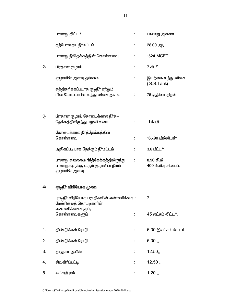|    | பாலாறு திட்டம்                                                                              |                          | பாலாறு அணை                         |
|----|---------------------------------------------------------------------------------------------|--------------------------|------------------------------------|
|    | தற்போதைய நீர்மட்டம்                                                                         | t,                       | 28.00 அடி                          |
|    | பாலாறு நீா்தேக்கத்தின் கொள்ளளவு                                                             |                          | <b>1524 MCFT</b>                   |
| 2) | பிரதான குழாய்                                                                               |                          | 7 கி.மீ                            |
|    | குழாயின் அளவு தன்மை                                                                         | ÷                        | இயற்கை உந்து விசை<br>(S.S.Tank)    |
|    | சுத்திகரிக்கப்படாத குடிநீா் ஏற்றும்<br>மின் மோட்டாரின் உந்து விசை அளவு                      | $\mathcal{L}_{\rm{max}}$ | 75 குதிரை திறன்                    |
| 3) | பிரதான குழாய் கோடைக்கால நீா்த்—<br>தேக்கத்திலிருந்து பழனி வரை                               |                          | 11 கி.மி.                          |
|    |                                                                                             |                          |                                    |
|    | கோடைக்கால நீா்த்தேக்கத்தின்<br>கொள்ளளவு                                                     |                          | 165.90 மில்லியன்                   |
|    | அதிகப்படியாக தேக்கும் நீா்மட்டம்                                                            |                          | 3.6 மீட்டர்                        |
|    | பாலாறு தலைமை நீா்த்தேக்கத்திலிருந்து<br>பாலாறுகளுக்கு வரும் குழாயின் நீளம்<br>குழாயின் அளவு | ÷                        | 8.90 கி.மீ<br>400 மி.மீ.ஏ.சி.பைப். |
| 4) | <u> குடிநீர் விநியோக முறை</u>                                                               |                          |                                    |
|    | குடிநீா் விநியோக பகுதிகளின் எண்ணிக்கை :<br>மேல்நிலைத் தொட்டிகளின்                           |                          | $\overline{7}$                     |
|    | எண்ணிக்கைகளும்,<br>கொள்ளளவுகளும்                                                            |                          | 45 லட்சம் லிட்டர்.                 |
| 1. | திண்டுக்கல் ரோடு                                                                            |                          | 6.00 இலட்சம் லிட்டர்               |
| 2. | திண்டுக்கல் ரோடு                                                                            | ÷                        | 5.00,                              |
| 3. | தாலுகா ஆபீஸ்                                                                                |                          | 12.50,                             |
| 4. | சிவகிரிப்பட்டி                                                                              |                          | 12.50,                             |
| 5. | லட்சுமிபுரம்                                                                                |                          | 1.20,                              |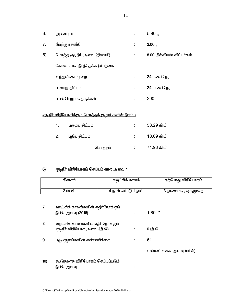| 6.             | அடிவாரம்                     | $5.80$                    |
|----------------|------------------------------|---------------------------|
| 7 <sub>1</sub> | மேற்கு ரதவீதி                | 2.00,                     |
| 5)             | மொத்த குடிநீர் அளவு (தினசரி) | 8.00 மில்லியன் லிட்டர்கள் |
|                | கோடைகால நீர்த்தேக்க இயற்கை   |                           |
|                | உந்துவிசை முறை               | 24 மணி நேரம்              |
|                | பாலாறு திட்டம்               | 24 மணி நேரம்              |
|                | பயன்பெறும் தெருக்கள்         | 290                       |

# <u>குடிநீர் விநியோகிக்கும் மொத்தக் குழாய்களின் நீளம் :</u>

| $1_{\cdot}$ | பழைய திட்டம்  | ٠ | 53.29 கி.மீ |
|-------------|---------------|---|-------------|
| 2.          | புதிய திட்டம் |   | 18.69 கி.மீ |
|             | மொத்தம்       |   | 71.98 கி.மீ |
|             |               |   |             |

#### <u> குடிநீா் விநியோகம் செய்யும் கால அளவு :</u>  $6$

|     | தினசரி                            | வறட்சிக் காலம் |                      |         | தற்போது விநியோகம்      |
|-----|-----------------------------------|----------------|----------------------|---------|------------------------|
|     |                                   |                |                      |         |                        |
|     | 2 மணி                             |                | 4 நாள் விட்டு 1 நாள் |         | 3 நாளைக்கு ஒருமுறை     |
|     |                                   |                |                      |         |                        |
| 7.  | வறட்சிக் காலங்களின் எதிர்நோக்கும் |                |                      |         |                        |
|     | நீரின் அளவு (2016)                |                |                      | 1.80 மீ |                        |
|     |                                   |                |                      |         |                        |
| 8.  | வறட்சிக் காலங்களில் எதிர்நோக்கும் |                |                      |         |                        |
|     | (தடிநீர் விநியோக அளவு (மி.லி)     |                |                      | 6 மி.லி |                        |
|     |                                   |                |                      |         |                        |
| 9.  | அடிகுழாய்களின் எண்ணிக்கை          |                |                      | 61      |                        |
|     |                                   |                |                      |         |                        |
|     |                                   |                |                      |         | எண்ணிக்கை அளவு (மி.லி) |
| 10) | கூடுதலாக விநியோகம் செய்யப்படும்   |                |                      |         |                        |
|     |                                   |                |                      |         |                        |
|     | நீரின் அளவு                       |                |                      |         |                        |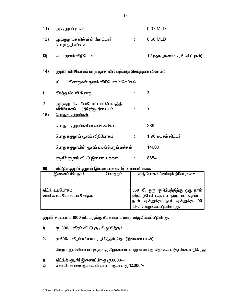| 11) | அடிகுழாய் மூலம்                                |    | 0.07 MLD                        |
|-----|------------------------------------------------|----|---------------------------------|
| 12) | ஆழ்குழாய்களில் மின் மோட்டாா்<br>பொருத்தி சப்ளை |    | 0.60 MLD                        |
| 13) | லாாி மூலம் விநியோகம்                           | ٠. | 12 (ஒரு நாளைக்கு 6 டிரிப்புகள்) |

#### குடிநீர் விநியோகம் மற்ற முறையில் ஏற்பாடு செய்ததன் விவரம்:  $14)$

கிணறுகள் மூலம் விநியோகம் செய்தல் a)

| 1.        | திறந்த வெளி கிணறு                                                                            |                     |
|-----------|----------------------------------------------------------------------------------------------|---------------------|
| 2.<br>15) | ஆழ்குழாயில் மின்மோட்டாா் பொருத்தி<br>விநியோகம் (நீரேற்று நிலையம்<br><u> பொதுக் குழாய்கள்</u> | 3                   |
|           | பொதுக் குழாய்களின் எண்ணிக்கை                                                                 | 289                 |
|           | பொதுக்குழாய் மூலம் விநியோகம்                                                                 | 1.90 லட்சம் லிட்டர் |
|           | பொதுக்குழாயின் மூலம் பயன்பெறும் மக்கள் :                                                     | 14600               |
|           | குடிநீா் குழாய் வீட்டு இணைப்புக்கள்                                                          | 8654                |

#### <u>வீட்டுக் குடிநீர் குழாய் இணைப்புக்களின் எண்ணிக்கை</u>  $16)$

| இணைப்பின் தரம்          | மொத்தம் | விநியோகம் செய்யும் நீரின் அளவு        |
|-------------------------|---------|---------------------------------------|
|                         |         |                                       |
|                         |         |                                       |
| வீட்டு உபயோகம்          |         | 550 லி. ஒரு குடும்பத்திற்கு ஒரு நாள்  |
| வணிக உபயோகமும் சேர்த்து |         | வீதம் (93 லி ஒரு நபர் ஒரு நாள் வீதம்) |
|                         |         | நாள் ஒன்றுக்கு நபர் ஒன்றுக்கு 90      |
|                         |         | LPCD வழங்கப்படுகின்றது.               |

# <u>குடிநீர் கட்டணம் 1000 லிட்டருக்கு கீழ்க்கண்டவாறு வசூலிக்கப்படுகிறது.</u>

- $\mathbf 0$ ரூ. 300/– வீதம் வீட்டு குடியிருப்பிற்கும்
- ரூ.600/- வீதம் (வியாபார நிமித்தம், தொழிற்சாலை பயன்)  $2)$

மேலும் இவ்விணைப்புகளுக்கு கீழ்க்கண்டவாறு வைப்புத் தொகை வசூலிக்கப்படுகிறது.

- வீட்டுக் குடிநீர் இணைப்பிற்கு ரூ.6000/- $\mathbf{D}$
- தொழிற்சாலை குழாய், வியாபார குழாய் ரூ.12,000/- $2)$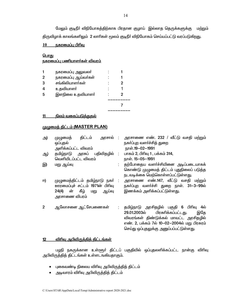மேலும் குடிநீா் விநியோகத்திற்காக பிரதான குழாய் இல்லாத தெருக்களுக்கு மற்றும் திருவிழாக் காலங்களிலும் 2 லாரிகள் மூலம் குடிநீா் விநியோகம் செய்யப்பட்டு வரப்படுகிறது.

# $10$  நகரமைப்பு பிரிவு

| <u>பொது</u>                         |
|-------------------------------------|
| <u>நகரமைப்பு பணியாளர்கள் விவரம்</u> |

|   | நகரமைப்பு அலுவலா்   |   |  |
|---|---------------------|---|--|
| 2 | நகரமைப்பு ஆய்வர்கள் |   |  |
| 3 | சங்கிலியாளர்கள்     | 2 |  |
|   | உதவியாளர்           |   |  |
| 5 | இளநிலை உதவியாளா்    | 2 |  |
|   |                     |   |  |

#### <u>நிலம் வகைப்படுத்துதல்</u> <u> 11 </u>

# முழுமைத் திட்டம் (MASTER PLAN)

| அ) | திட்டம்<br>அரசால் :<br>முழுமைத்<br>ஒப்புதல்<br>அளிக்கப்பட்ட விவரம் | அரசாணை எண். 232 / வீட்டு வசதி மற்றும்<br>நகர்ப்புற வளர்ச்சித் துறை<br>நாள்.19-02-1991                                                                                         |
|----|--------------------------------------------------------------------|-------------------------------------------------------------------------------------------------------------------------------------------------------------------------------|
| ஆ) | தமிழ்நாடு அரசுப் பதிவிதழில் :                                      | பாகம் 2, பிரிவு 1, பக்கம் 314,                                                                                                                                                |
|    | வெளியிடப்பட்ட விவரம்                                               | நாள். 15-05-1991                                                                                                                                                              |
| இ) | மறு ஆய்வு                                                          | தற்போதைய வளர்ச்சியினை அடிப்படையாகக்                                                                                                                                           |
|    |                                                                    | கொண்டு முழுமைத் திட்டம் புதுநிலைப் படுத்த<br>நடவடிக்கை மெற்கொள்ளப்பட்டுள்ளது.                                                                                                 |
| ஈ) | முழுமைத்திட்டம் தமிழ்நாடு நகர் :                                   | அரசாணை எண்.147, வீட்டு வசதி மற்றும்                                                                                                                                           |
|    | ஊரமைப்புச் சட்டம் 1971ன் பிரிவு                                    | நகர்ப்புற வளர்ச்சி துறை நாள். 31-3-99ல்                                                                                                                                       |
|    | கீழ்<br>24(4)<br>ஆய்வு<br>ன்<br>மறு<br>அரசாணை விபரம்               | இணக்கம் அளிக்கப்பட்டுள்ளது.                                                                                                                                                   |
| 2  | ஆலோசனை ஆட்சேபணைகள்                                                 | தமிழ்நாடு அரசிதழில் பகுதி 6 பிரிவு 4ல்<br>பிரசுரிக்கப்பட்டது.<br>29.01.2003ல்<br>இதே<br>விவரங்கள் திண்டுக்கல் மாவட்ட அரசிதழில்<br>எண். 2. பக்கம் 7ல் 10-02-2004ல் மறு பிரகாம் |

#### <u>விரிவு அபிவிருத்தித் திட்டங்கள்</u>  $12$

பழநி நகருக்கான உள்ளூர் திட்டப் பகுதியில் ஒப்புதலளிக்கப்பட்ட நான்கு விரிவு அபிவிருத்தித் திட்டங்கள் உள்ளடஙகியதாகும்.

செய்து ஒப்புதலுக்கு அனுப்பப்பட்டுள்ளது.

- புகைவண்டி நிலைய விரிவு அபிவிருத்தித் திட்டம்
- அடிவாரம் விரிவு அபிவிருத்தித் திட்டம்  $\bullet$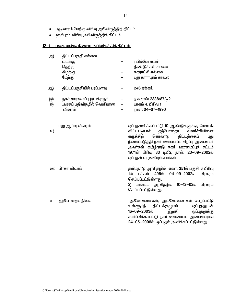- அடிவாரம் மேற்கு விரிவு அபிவிருத்தித் திட்டம்  $\bullet$
- ஹாிபுரம் விரிவு அபிவிருத்தித் திட்டம்.  $\bullet$

# 12-1 புகை வண்டி நிலைய அபிவிருத்தித் திட்டம்.

| அ) | திட்டப்பகுதி எல்லை        |                          |                                                                                                                                                                                                                                                                                                            |
|----|---------------------------|--------------------------|------------------------------------------------------------------------------------------------------------------------------------------------------------------------------------------------------------------------------------------------------------------------------------------------------------|
|    | வடக்கு                    |                          | ரயில்வே லயன்                                                                                                                                                                                                                                                                                               |
|    | தெற்கு                    |                          | திண்டுக்கல் சாலை                                                                                                                                                                                                                                                                                           |
|    | கிழக்கு                   |                          | நகராட்சி எல்கை                                                                                                                                                                                                                                                                                             |
|    | மேற்கு                    |                          | புது தாராபுரம் சாலை                                                                                                                                                                                                                                                                                        |
| ஆ) | திட்டப்பகுதியில் பரப்பளவு |                          | 246 ஏக்கர்.                                                                                                                                                                                                                                                                                                |
| இ) | நகா் ஊரமைப்பு இயக்குநா்   |                          | ந.க.எண்.2338/87/டி2                                                                                                                                                                                                                                                                                        |
| 冋) | அரசுப் பதிவிதழில் வெளியான | $\overline{\phantom{0}}$ | பாகம் 4, பிரிவு 1                                                                                                                                                                                                                                                                                          |
|    | விவரம்                    |                          | நாள். 04-07-1990                                                                                                                                                                                                                                                                                           |
| உ) | மறு ஆய்வு விவரம்          |                          | ஒப்புதலளிக்கப்பட்டு 10 ஆண்டுகளுக்கு மேலாகி<br>தற்போதைய<br>வளர்ச்சியினை<br>விட்டபடியால்<br>கருத்திற்<br>கொண்டு<br>திட்டத்தைப்<br>புது<br>நிலைப்படுத்தி நகா் ஊரமைப்பு சிறப்பு ஆணையா்<br>அவா்கள் தமிழ்நாடு நகா் ஊரமைப்புச் சட்டம்<br>1971ன் பிரிவு 33 டிபி2, நாள். 23-09-2002ல்<br>ஒப்புதல் வழஙகியுள்ளார்கள். |
| ஹ  | பிரசுர விவரம்             |                          | தமிழ்நாடு அரசிதழில் எண். 351ல் பகுதி 6 பிரிவு<br>496ல்<br>04–09–2002ல்<br>பிரசுரம்<br>1ல்<br>பக்கம்<br>செய்யப்பட்டுள்ளது.<br>2) மாவட்ட அரசிதழில் 10—12—02ல் பிரசுரம்<br>செய்யப்பட்டுள்ளது.                                                                                                                 |
| எ  | தற்போதைய நிலை             |                          | ஆலோசனைகள், ஆட்சேபணைகள் பெறப்பட்டு<br>உள்ளூர்த்<br>திட்டக்குழுமம்<br>ஒப்புதலுடன்<br>16-09-2003ல்<br>இறுதி<br>ஒப்புதலுக்கு<br>சமா்ப்பிக்கப்பட்டு நகா் ஊரமைப்பு ஆணையரால்                                                                                                                                      |

24-05-2006ல் ஒப்புதல் அளிக்கப்பட்டுள்ளது.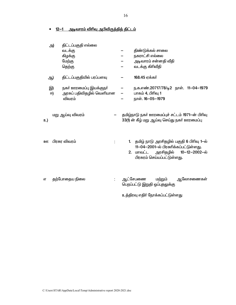#### <u>12–1 அடிவாரம் விரிவு அபிவிருத்தித் திட்டம்</u>  $\bullet$

| அ) | திட்டப்பகுதி எல்லை        |    |                                                                                                 |
|----|---------------------------|----|-------------------------------------------------------------------------------------------------|
|    | வடக்கு                    |    | திண்டுக்கல் சாலை                                                                                |
|    | கிழக்கு                   |    | நகராட்சி எல்லை                                                                                  |
|    | மேற்கு                    |    | அடிவாரம் சன்னதி வீதி                                                                            |
|    | தெற்கு                    |    | வடக்கு கிரிவீதி                                                                                 |
| ஆ) | திட்டப்பகுதியில் பரப்பளவு |    | 168.45 ஏக்கர்                                                                                   |
| இ) | நகா் ஊரமைப்பு இயக்குநா்   |    | ந.க.எண்.20717/78/டி2 நாள். 11–04–1979                                                           |
| 冋) | அரசுப் பதிவிதழில் வெளியான |    | பாகம் 4, பிரிவு 1                                                                               |
|    | விவரம்                    |    | நாள். 16-05-1979                                                                                |
| உ) | மறு ஆய்வு விவரம்          |    | தமிழ்நாடு நகர் ஊரமைப்புச் சட்டம் 1971-ன் பிரிவு<br>33(1) ன் கீழ் மறு ஆய்வு செய்து நகர் ஊரமைப்பு |
| ஊ  | பிரசுர விவரம்             | 1. | தமிழ் நாடு அரசிதழில் பகுதி 6 பிரிவு 1—ல்<br>11-04-2001-ல் பிரசுரிக்கப்பட்டுள்ளது.               |
|    |                           | 2. | அரசிதழில்<br>10-12-2002-ல்<br>மாவட்ட<br>பிரசுரம் செய்யப்பட்டுள்ளது.                             |
| எ  | தற்போதைய நிலை<br>t,       |    | ஆட்சேபணை<br>மற்றும்<br>ஆலோசணைகள்<br>பெறப்பட்டு இறுதி ஒப்புதலுக்கு                               |
|    |                           |    | உத்திரவு எதிா் நோக்கப்பட்டுள்ளது                                                                |
|    |                           |    |                                                                                                 |

16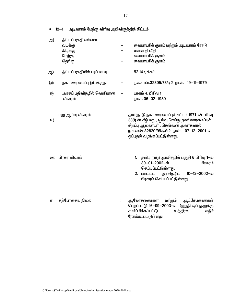<u>12—1 அடிவாரம் மேற்கு விரிவு அபிவிருத்தித் திட்டம்</u>  $\bullet$ 

| அ)        | திட்டப்பகுதி எல்லை<br>வடக்கு<br>கிழக்கு<br>மேற்கு<br>தெற்கு | வையாபுரிக் குளம் மற்றும் அடிவாரம் ரோடு<br>சன்னதி வீதி<br>வையாபுாிக் குளம்<br>வையாபுரிக் குளம்                                                                                                                       |
|-----------|-------------------------------------------------------------|---------------------------------------------------------------------------------------------------------------------------------------------------------------------------------------------------------------------|
| ஆ)        | திட்டப்பகுதியில் பரப்பளவு                                   | 52.14 ஏக்கர்                                                                                                                                                                                                        |
| இ)        | நகா் ஊரமைப்பு இயக்குநா்                                     | ந.க.எண்.32305/78/டி2 நாள். 19-11-1979                                                                                                                                                                               |
| ஈ)        | அரசுப் பதிவிதழில் வெளியான<br>விவரம்                         | பாகம் 4, பிரிவு 1<br>நாள். 06-02-1980                                                                                                                                                                               |
| உ)        | மறு ஆய்வு விவரம்                                            | தமிழ்நாடு நகர் ஊரமைப்புச் சட்டம் 1971-ன் பிரிவு<br>33(1) ன் கீழ் மறு ஆய்வு செய்து நகர் ஊரமைப்புச்<br>சிறப்பு ஆணையா் , சென்னை அவா்களால்<br>ந.க.எண்.32820/99/டிபி2 நாள். 07-12-2001-ல்<br>ஒப்புதல் வழங்கப்பட்டுள்ளது. |
| <u>றள</u> | பிரசுர விவரம்                                               | தமிழ் நாடு அரசிதழில் பகுதி 6 பிரிவு 1-ல்<br>1 <sub>1</sub><br>30-01-2002-ல்<br>பிரசுரம்<br>செய்யப்பட்டுள்ளது.<br>மாவட்ட<br>அரசிதழில்<br>10-12-2002-ல்<br>2.<br>பிரசுரம் செய்யப்பட்டுள்ளது.                          |
| எ         | தற்போதைய நிலை                                               | ஆட்சேபணைகள்<br>ஆலோசணைகள்<br>மற்றும்<br>பெறப்பட்டு 16-09-2003-ல் இறுதி ஒப்புதலுக்கு<br>சமா்ப்பிக்கப்பட்டு<br>உத்திரவு<br>எதிர்<br>நோக்கப்பட்டுள்ளது                                                                  |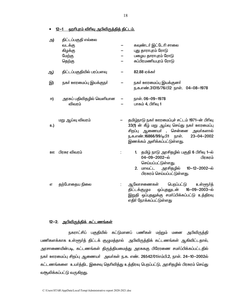12-1 ஹரிபுரம் விரிவு அபிவிருத்தித் திட்டம்.

| அ)        | திட்டப்பகுதி எல்லை<br>வடக்கு<br>கிழக்கு<br>மேற்கு<br>தெற்கு | கவுண்டர் இட்டேரி சாலை<br>புது தாராபுரம் ரோடு<br>பழைய தாராபுரம் ரோடு<br>சுப்பிரமணியபுரம் ரோடு                                                                                                                   |
|-----------|-------------------------------------------------------------|----------------------------------------------------------------------------------------------------------------------------------------------------------------------------------------------------------------|
| ஆ)        | திட்டப்பகுதியில் பரப்பளவு                                   | 82.88 ஏக்கர்                                                                                                                                                                                                   |
| இ)        | நகா் ஊரமைப்பு இயக்குநா்                                     | நகர் ஊரமைப்பு இயக்குனர்<br>ந.க.எண்.31315/76/பி2 நாள். 04-08-1978                                                                                                                                               |
| ஈ)        | அரசுப் பதிவிதழில் வெளியான<br>விவரம்                         | நாள். 06-09-1978<br>பாகம் 4, பிரிவு 1                                                                                                                                                                          |
| உ)        | மறு ஆய்வு விவரம்                                            | தமிழ்நாடு நகர் ஊரமைப்புச் சட்டம் 1971-ன் பிரிவு<br>33(1) ன் கீழ் மறு ஆய்வு செய்து நகர் ஊரமைப்பு<br>சிறப்பு ஆணையா் , சென்னை அவா்களால்<br>ந.க.எண்.16866/99/டிபி1 நாள். 23-04-2002<br>இணக்கம் அளிக்கப்பட்டுள்ளது. |
| <u>றள</u> | பிரசுர விவரம்                                               | 1. தமிழ் நாடு அரசிதழில் பகுதி 6 பிரிவு 1-ல்<br>04-09-2002-ல்<br>பிரசுரம்<br>செய்யப்பட்டுள்ளது.<br>2. மாவட்ட அரசிதழில் 10-12-2002-ல்<br>பிரசுரம் செய்யப்பட்டுள்ளது.                                             |
| எ         | தற்போதைய நிலை                                               | ஆலோசணைகள் பெறப்பட்டு<br>உள்ளூர்த்<br>திட்டக்குழும ஒப்புதலுடன் 16-09-2003-ல்<br>இறுதி ஒப்புதலுக்கு சமா்ப்பிக்கப்பட்டு உத்திரவு<br>எதிர் நோக்கப்பட்டுள்ளது                                                       |

# 12-2. அபிவிருத்திக் கட்டணங்கள்

நகராட்சிப் பகுதியில் கட்டுமானப் பணிகள் மற்றும் மனை அபிவிருத்தி பணிகளக்காக உள்ளூர்த் திட்டக் குழுமத்தால் அபிவிருத்திக் கட்டணங்கள் ஆகிவிட்டதால், அரசாணையின்படி, கட்டணங்கள் திருத்தியமைத்து அரசுககு பிரேரணை சமா்ப்பிக்கப்பட்டதில் நகர் ஊரமைப்பு சிறப்பு ஆணையர் அவர்கள் ந.க. எண். 26542/01/எம்பி.2, நாள். 24–10–2002ல் கட்டணங்களை உயர்த்திட இசைவு தெரிவித்து உத்திரவு பெறப்பட்டு, அரசிதழில் பிரசுரம் செய்து வசூலிக்கப்பட்டு வருகிறது.

18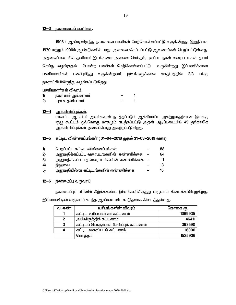### <u>12-3 நகரளவைப் பணிகள்.</u>

1908ம் ஆண்டிலிருந்து நகரளவை பணிகள் மேற்கொள்ளப்பட்டு வருகின்றது. இறுதியாக 1970 மற்றும் 1996ம் ஆண்டுகளில் மறு அளவை செய்யப்பட்டு ஆவணங்கள் பெறப்பட்டுள்ளது. அதனடிப்படையில் தனியார் இடங்களை அளவை செய்தல், புலப்பட நகல் வரைபடஙகள் தயார் போன்ற பணிகள் மேற்கொள்ளப்பட்டு வருகின்றது. இப்பணிக்கான செய்து வழங்குதல் பணியாளா்கள் பணிபுாிந்து வருகின்றனா். இவா்களுக்கான ஊதியத்தின்  $2/3$  பங்கு நகராட்சியிலிருந்து வழங்கப்படுகிறது.

## பணியாளர்கள் விவரம்.

|               | நகா சாா ஆயவாளா |  |
|---------------|----------------|--|
| $\mathcal{P}$ | புல உதவியாளர்  |  |

# <u>12-4 ஆக்கிரமிப்புக்கள்.</u>

மாவட்ட ஆட்சியா் அவா்களால் நடத்தப்படும் ஆக்கிரமிப்பு அகற்றுவதற்கான இயக்கு குழு கூட்டம் ஒவ்வொரு மாதமும் நடத்தப்பட்டு அதன் அடிப்படையில் 49 தற்காலிக ஆக்கிரமிப்புக்கள் அவ்வப்போது அகற்றப்படுகிறது.

### <u>12—5 கட்டிட விண்ணப்பங்கள் ( 01—04—2018 முதல் 31—03—2019 வரை)</u>

| $\mathbf{D}$                 | பெறப்பட்ட கட்டிட விண்ணப்பங்கள்            | 88 |
|------------------------------|-------------------------------------------|----|
| 2)                           | அனுமதிக்கப்பட்ட வரைபடஙகளின் எண்ணிக்கை     | 64 |
| 3)                           | அனுமதிக்கப்படாத வரைபடங்களின் எண்ணிக்கை  — | 11 |
| $\left( \frac{1}{2} \right)$ | நிலுவை                                    | 13 |
| 5)                           | அனுமதியில்லா கட்டிடங்களின் எண்ணிக்கை      | 18 |

#### <u>12—6 நகரமைப்பு வருவாய்</u>

நகரமைப்புப் பிரிவில் கீழ்க்ககண்ட இனங்களிலிருந்து வருவாய் கிடைக்கப்பெறுகிறது. இவ்வாணிடின் வருவாய் கடந்த ஆண்டைவிட கூடுதலாக கிடைத்துள்ள<u>த</u>ு.

| வ. எண் | உரிமங்களின் விவரம்                    | தொகை ரூ. |
|--------|---------------------------------------|----------|
|        | கட்டிட உரிமையாளர் கட்டணம்             | 1069935  |
|        | அபிவிருத்திக் கட்டணம்                 | 46411    |
| 3      | கட்டிடப் பொருள்கள் சேமிப்புக் கட்டணம் | 393590   |
| 4      | கட்டிட வரைப்படம் கட்டணம்              | 16000    |
|        | மொத்தம்                               | 1525936  |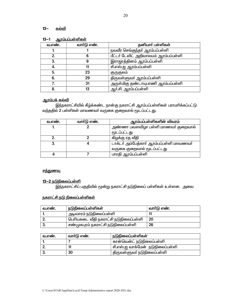#### $13 -$ கல்வி

| <u> <del>gay =============</del></u> |             |                                       |  |
|--------------------------------------|-------------|---------------------------------------|--|
| வ.எண்.                               | வார்டு எண். | தனியார் பள்ளிகள்                      |  |
|                                      |             | நவவீர செங்குந்தா் ஆரம்பப்பள்ளி        |  |
|                                      |             | பீட்டர் டேவிட் அறிவாலயம் ஆரம்பப்பள்ளி |  |
|                                      |             | இராஜரத்தினம் ஆரம்பப்பள்ளி             |  |
|                                      |             | சி.எஸ்.ஐ ஆரம்பப்பள்ளி                 |  |
| 5.                                   | 23          | குருகுலம்                             |  |
| 6.                                   | 29          | திருவள்ளுவா் ஆரம்பப்பள்ளி             |  |
|                                      | 31          | அருள்மிகு தண்டாயுபாணி ஆரம்பப்பள்ளி    |  |
| 8.                                   | 13          | ஆர்.சி. ஆரம்பப்பள்ளி                  |  |

#### வாம்பப்பள்ளிகள்  $13 - 1$

# <u>ஆரம்பக் கல்வி</u>

இந்நகராட்சியில் கீழ்க்கண்ட நான்கு நகராட்சி ஆரம்பப்பள்ளிகள் பராமரிக்கப்பட்டு வந்ததில் 2 பள்ளிகள் மாவணவர் வருகை குறைவால் மூடப்பட்டது.

| வ.எண். | வார்டு எண். | ஆரம்பப்பள்ளிகளின் விவரம்                 |
|--------|-------------|------------------------------------------|
|        |             | அண்ணா பவளவிழா பள்ளி மாணவா் குறைவால்      |
|        |             | மூடப்பட்டது                              |
|        |             | கிழக்கு ரத வீதி                          |
|        |             | டாக்டர் அம்பேத்கார் ஆரம்பப்பள்ளி மாவணவர் |
|        |             | வருகை குறைவால் மூடப்பட்டது               |
|        |             | பாரதி ஆரம்பப்பள்ளி                       |

# <u>சத்துணவு</u>

# 13-2 நடுநிலைப்பள்ளி

இந்நகராட்சிப் பகுதியில் மூன்று நகராட்சி நடுநிலைப் பள்ளிகள் உள்ளன. அவை

# <u>நகராட்சி நடு நிலைப்பள்ளிகள்</u>

| வ.எண். | நடுநிலைப்பள்ளிகள்                     | வாா்டு எண். |
|--------|---------------------------------------|-------------|
|        | அடிவாரம் நடுநிலைப்பள்ளி               |             |
|        | பெரியகடை வீதி நகராட்சி நடுநிலைப்பள்ளி | 20          |
|        | சண்முகபுரம் நகராட்சி நடுநிலைப்பள்ளி   | 26          |

| வ.எண். | வார்டு எண். | <sup>'</sup> நடுநிலைப்பள்ளிகள்    |
|--------|-------------|-----------------------------------|
|        |             | கான்வென்ட் நடுநிலைப்பள்ளி         |
|        |             | சி.எஸ்.ஐ வாக்மேன்  நடுநிலைப்பள்ளி |
|        | 30          | திருவள்ளுவா் நடுநிலைப்பள்ளி       |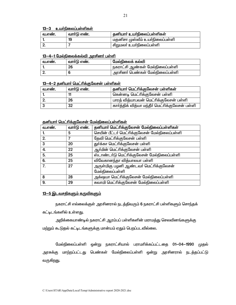## 13-3 உயர்நிலைப்பள்ளிகள்

| வ.எண. | வாா்டு எண். | கனியாா் உயா்நிலைப்பள்ளிகள்      |
|-------|-------------|---------------------------------|
|       | 19          | மகனிசா முஸ்லீம் உயா்நிலைப்பள்ளி |
|       |             | சிறுமலர் உயர்நிலைப்பள்ளி        |

## 13-4-1 மேல்நிலைக்கல்வி அாசினர் பள்ளி

| வ.எண. | வார்டு எண். | மேல்நிலைக் கல்வி                             |
|-------|-------------|----------------------------------------------|
|       | 26          | <sup>।</sup> நகராட்சி ஆண்கள் மேல்நிலைப்பள்ளி |
|       |             | <sup>।</sup> அரசினா் பெண்கள் மேல்நிலைப்பள்ளி |

# 13-4-2 தனியார் மெட்ரிக்குலேசன் பள்ளிகள்

| வ.எண். | வார்டு எண். | தனியார் மெட்ரிக்குலேசன் பள்ளிகள்                |  |
|--------|-------------|-------------------------------------------------|--|
|        |             | கென்னடி மெட்ரிக்குலேசன் பள்ளி                   |  |
|        | 26          | பாரத் வித்யாபவன் மெட்ரிக்குலேசன் பள்ளி          |  |
|        | 32          | கார்த்திக் வித்யா மந்தீர் மெட்ரிக்குலேசன் பள்ளி |  |

# கனியார் மெட்ரிக்குலேசன் மேல்நிலைப்பள்ளிகள்

| வ.எண். | வார்டு எண். | தனியார் மெட்ரிக்குலேசன் மேல்நிலைப்பள்ளிகள்                |
|--------|-------------|-----------------------------------------------------------|
|        | 5           | செயின் பீட்டர் மெட்ரிக்குலேசன் மேல்நிலைப்பள்ளி            |
| 2.     |             | தேவி மெட்ரிக்குலேசன் பள்ளி                                |
| 3      | 20          | துர்க்கா மெட்ரிக்குலேசன் பள்ளி                            |
| 4.     | 22          | ஆர்மின் மெட்ரிக்குலேசன் பள்ளி                             |
| 5.     | 25          | ஸ்டாண்டர்டு மெட்ரிக்குலேசன் மேல்நிலைப்பள்ளி               |
| 6.     | 25          | விவேகானந்தா வித்யாலயா பள்ளி                               |
| 7.     | 27          | அருள்மிகு பழனி ஆண்டவா் மெட்ரிக்குலேசன்<br>மேல்நிலைப்பள்ளி |
| 8      | 28          | அக்ஷயா மெட்ரிக்குலேசன் மேல்நிலைப்பள்ளி                    |
| 9.     | 29          | சுவாமி மெட்ரிக்குலேசன் மேல்நிலைப்பள்ளி                    |

# 13-5 இடவசதிகளும் கருவிகளும்

நகராட்சி எல்லைக்குள் அரசினரால் நடத்திவரும் 6 நகராட்சி பள்ளிகளும் சொந்தக்

கட்டிடங்களில் உள்ளது.

அறிக்கையாண்டில் நகராட்சி ஆரம்பப் பள்ளிகளின் மராமத்து செலவினங்களுக்கு மற்றும் கூடுதல் கட்டிடங்களுக்கு மான்யம் ஏதும் பெறப்படவில்லை.

மேல்நிலைப்பள்ளி ஒன்று நகராட்சியால் பராமாிக்கப்பட்டதை 01-04-1990 முதல் அரசுக்கு மாற்றப்பட்டது பெண்கள் மேல்நிலைப்பள்ளி ஒன்று அரசினரால் நடத்தப்பட்டு வருகிறது.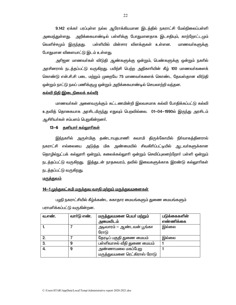9.142 ஏக்கா் பரப்புள்ள நல்ல ஆரோக்கியமான இடத்தில் நகராட்சி மேல்நிலைப்பள்ளி அமைந்துள்ளது. அறிக்கையாண்டில் பள்ளிக்கு போதுமானதாக இடசதியும், காற்றோட்டமும் வெளிச்சமும் இருந்தது. பள்ளியில் மின்சார விளக்குகள் உள்ளன. மாணவர்களுக்கு போதுமான விளையாட்டு இடம் உள்ளது.

அாிஜன மாணவா்கள் விடுதி ஆண்களுக்கு ஒன்றும், பெண்களுக்கு ஒன்றும் நகாில் அரசினரால் நடத்தப்பட்டு வருகிறது. பயிற்சி பெற்ற அதிகாாியின் கீழ் 100 மாணவா்களைக் கொண்டு என்.சி.சி படை மற்றும் முறையே 75 மாணவர்களைக் கொண்ட தேவஸ்தான விடுதி ஒன்றும் நாட்டு நலப் பணிக்குழு ஒன்றும் அறிக்கையாண்டில் செயலாற்றி வந்தன.

#### <u>கல்வி நிதி (இடைநிலைக் கல்வி)</u>

மாணவா்கள் அனைவருக்கும் கட்டணமின்றி இலவசமாக கல்வி போதிக்கப்பட்டு கல்வி உதவித் தொகையாக அரசிடமிருந்து எதுவும் பெறவில்லை. 01—04—1990ல் இருந்து அரசிடம் ஆசிரியர்கள் சம்பளம் பெறுகின்றனர்.

### 13-6 தனியார் கல்லுாரிகள்

இந்நகரில் அருள்மிகு தண்டாயுதபாணி சுவாமி திருக்கோயில் நிர்வாகத்தினரால் நகராட்சி எல்லையை அடுத்த மிக அண்மையில் சிவகிரிப்பட்டியில் ஆடவா்களுக்கான தொழில்நுட்பக் கல்லுாாி ஒன்றும், கலைக்கல்லுாாி ஒன்றும் செவிப்புலனற்றோா் பள்ளி ஒன்றும் நடத்தப்பட்டு வருகிறது. இத்துடன் நாதசுவரம், தவில் இவைகளுக்காக இரண்டு கல்லுாாிகள் நடத்தப்பட்டு வருகிறது.

#### <u>மருத்துவம்</u>

## <u>14–1 முத்துலட்சுமி மருத்துவ வசதி மற்றும் மருத்துவமனைகள்</u>

பழநி நகராட்சியில் கீழ்க்கண்ட சுகாதார மையங்களும் துணை மையங்களும் பராமரிக்கப்பட்டு வருகின்றன.

| வ.எண். | வாா்டு எண். | மருத்துவமனை பெயா் மற்றும்<br>அமைவிடம்            | படுக்கைகளின்<br>எண்ணிக்கை |
|--------|-------------|--------------------------------------------------|---------------------------|
|        |             | அடிவாரம் — ஆண்டவன் பூங்கா<br>ரோடு                | இல்லை                     |
| 2.     |             | தேரடிப் பகுதி துணை மையம்                         | இல்லை                     |
| 3.     | 9           | பள்ளிவாசல் வீதி துணை மையம்                       |                           |
| 4.     | 9           | அண்ணாமலை மகப்பேறு<br>மருத்துவமனை ரெட்கிராஸ் ரோடு |                           |

22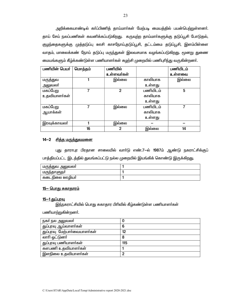அறிக்கையாண்டில் கா்ப்பிணித் தாய்மாா்கள் மேற்படி மையத்தில் பயன்பெற்றுள்ளனா். தாய் சேய் நலப்பணிகள் கவனிக்கப்படுகிறது. கருவுற்ற தாய்மாா்களுக்கு தடுப்பூசி போடுதல், குழந்தைகளுக்கு முத்தடுப்பு ஊசி காசநோய்,தடுப்பூசி, தட்டம்மை தடுப்பூசி, இளம்பிள்ளை வாதம், மாலைக்கண் நோய் தடுப்பு மருந்துகள் இலவசமாக வழங்கப்படுகிறது. மூனறு துணை மையங்களும் கீழ்க்கண்டுள்ள பணியாளர்கள் சுழற்சி முறையில் பணிபுரிந்து வருகின்றனர்.

| பணியின் பெயர் | மொத்தம் | பணியில்    |          | பணியிடம் |
|---------------|---------|------------|----------|----------|
|               |         | உள்ளவர்கள் |          | உள்ளவை   |
| மருத்துவ      |         | இல்லை      | காலியாக  | இல்லை    |
| அலுவலா்       |         |            | உள்ளது   |          |
| மகப்பேறு      | 7       | 2          | பணியிடம் | 5        |
| உதவியாளர்கள்  |         |            | காலியாக  |          |
|               |         |            | உள்ளது   |          |
| மகப்பேறு      | 7       | இல்லை      | பணியிடம் |          |
| ஆயாக்கள்      |         |            | காலியாக  |          |
|               |         |            | உள்ளது   |          |
| இரவுக்காவலா்  |         | இல்லை      |          |          |
|               | 16      | 2          | இல்லை    | 14       |

## 14-2 <u>சித்த மருத்துவமனை</u>

புது தாராபுர பிரதான சாலையில் வார்டு எண்.7-ல் 1987ம் ஆண்டு நகராட்சிக்குப் பாத்தியப்பட்ட இடத்தில் துவங்கப்பட்டு நல்ல முறையில் இயங்கிக் கொண்டு இருக்கிறது.

| மருத்துவ<br>அலுவலா        |  |
|---------------------------|--|
| ,சுாளுநா<br>רופפוויי (יוס |  |
| கடை<br>_நிலை ஊமியா        |  |

# <u>15- பொது சுகாதாரம்</u>

## <u>15-1 துப்புரவு</u>

இந்நகராட்சியில் பொது சுகாதார பிரிவில் கீழ்கண்டுள்ள பணியாளர்கள்

பணியாற்றுகின்றனர்.

| நகர் நல அலுவலர்              | O   |
|------------------------------|-----|
| துப்புரவு ஆய்வாளா்கள்        | 6   |
| துப்புரவு மேற்பார்வையாளர்கள் | 12  |
| லாரி ஓட்டுனர்                | 8   |
| துப்புரவு பணியாளர்கள்        | 115 |
| களபணி உதவியாளர்கள்           |     |
| இளநிலை உதவியாளா்கள்          | ŋ   |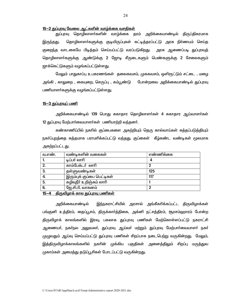### <u>15-2 துப்புரவு வேலை ஆட்களின் வாழ்க்கை வசதிகள்</u>

துப்புரவு தொழிலாளா்களின் வாழ்க்கை தரம் அறிக்கையாண்டில் திருப்திகரமாக தொழிலாளா்களுக்கு குடியிருப்புகள் கட்டித்தரப்பட்டு அரசு நிா்ணயம் செய்த இருந்தது. குறைந்த வாடகையே பிடித்தம் செய்யப்பட்டு வரப்படுகிறது. அரசு ஆணைப்படி துப்புரவுத் தொழிலாளா்களுக்கு ஆண்டுக்கு 2 ஜோடி சீருடைகளும் பெண்களுக்கு 2 சேலைகளும் <u> ஜாக்கெட்டுகளும் வழங்கப்பட்டுள்ளது.</u>

மேலும் பாதுகாப்பு உபகரணங்கள் தலைகவசம், முககவசம், ஒளிரூட்டும் சட்டை , மழை அங்கி , காலுறை , கையுறை, செருப்பு , கம்பூண்டு போன்றவை அறிக்கையாண்டில் துப்புரவு பணியாளா்களுக்கு வழங்கப்பட்டுள்ளது.

### <u>15—3 துப்புரவுப் பணி</u>

அறிக்கையாண்டில் 139 பொது சுகாதார தொழிலாளா்கள் 4 சுகாதார ஆய்வாளா்கள் 12 துப்புரவு மேற்பார்வையாளர்கள் பணியாற்றி வந்தனர்.

கண்காணிப்பில் நகரில் குப்பைகளை அகற்றியும் தெரு கால்வாய்கள் சுத்தப்படுத்தியும் நகா்ப்புறத்தை சுத்தமாக பராமாிக்கப்பட்டு வந்தது. குப்கைள் கீழ்கண்ட வண்டிகள் மூலமாக அகற்றப்பட்டது.

| வ.எண். | வண்டிகளின் வகைகள்          | எண்ணிக்கை |
|--------|----------------------------|-----------|
|        | டிப்பர் லாரி               |           |
| 2.     | காம்பேக்டர் லாரி           |           |
| 3.     | தள்ளுவண்டிகள்              | 125       |
| 4.     | இரும்புக் குப்பை பெட்டிகள் | 117       |
| 5.     | கழிவுநீா் உறிஞ்சும் லாாி   |           |
| 6.     | ஜே.சி.பி. வாகனம்           |           |

#### <u>15—4 திருவிழாக் கால துப்புரவு பணிகள் </u>

இந்நகராட்சியில் அரசால் அங்கீகரிக்கப்பட்ட திருவிழாக்கள் அறிக்கையாண்டில் பங்குனி உத்திரம், தைப்பூசம், திருக்கார்த்திகை, அக்னி நட்சத்திரம், சூரசம்ஹாரம் போன்ற திருவிழாக் காலங்களில் இரவு, பகலாக துப்புரவு பணிகள் மேற்கொள்ளப்பட்டு நகராட்சி ஆணையா், நகா்நல அலுவலா், துப்புரவு ஆய்வா் மற்றும் துப்புரவு மேற்பாா்வையாளா் நகா் முழுவதும் ஆய்வு செய்யப்பட்டு துப்புரவு பணிகள் சிறப்பாக நடைபெற்று வருகின்றது. மேலும், இத்திருவிழாக்காலங்களில் நகரின் முக்கிய பகுதிகள் அனைத்திலும் சிறப்பு மருத்துவ முகாம்கள் அமைத்து தடுப்பூசிகள் போடப்பட்டு வருகின்றது.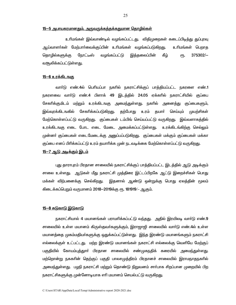#### <u>15—5 அபாயகரமானதும், அருவருக்கத்தக்கதுமான தொழில்கள்</u>

உரிமங்கள் இவ்வாண்டில் வழங்கப்பட்டது. விதிமுறைகள் கடைப்பிடித்து துப்புரவு ஆய்வாளா்கள் மேற்பாா்வைக்குப்பின் உாிமங்கள் வழங்கப்படுக<u>ிறத</u>ு. உரிமங்கள் பெறாக 375302/-தொழில்களுக்கு நோட்டீஸ் வழங்கப்பட்டு இத்தலைப்பின் கீழ் €Ҧ. வசூலிக்கப்பட்டுள்ளது.

### <u>15-6 உரக்கிடஙகு</u>

வாா்டு எண்.4ல் பொியப்பா நகாில் நகராட்சிக்குப் பாத்தியப்பட்ட நகரளை எண்.1 நகரளவை வாா்டு எண்.4 பிளாக் 49 இடத்தில் 24.05 ஏக்காில் நகராட்சியில் குப்பை சேகாிக்குமிடம் மற்றும் உரக்கிடஙகு அமைந்துள்ளது. நகாில் அனைத்து குப்பைகளும், இவ்வுரக்கிடஙகில் சேகாிக்கப்படுகி<u>றத</u>ு. தற்போது உரம் தயாா் செய்யும் முயற்சிகள் மேற்கொள்ளப்பட்டு வருகிறது. குப்பைகள் டம்பிங் செய்யப்பட்டு வருகிறது. இவ்வளாகத்தில் உரக்கிடஙகு எடை போட எடை மேடை அமைக்கப்பட்டுள்ளது. உரக்கிடங்கிற்கு செல்லும் முன்னர் குப்பைகள் எடைமேடைக்கு அனுப்பப்படுகிறது. குப்பைகள் மக்கும் குப்பைகள் மக்கா குப்பை எனப் பிரிக்கப்பட்டு உரம் தயாரிக்க முன் நடவடிக்கை மேற்கொள்ளப்பட்டு வருகிறது.

### <u>15—7 ஆடு அடிக்கும் இடம்</u>

புது தாராபுரம் பிரதான சாலையில் நகராட்சிக்குப் பாத்தியப்பட்ட இடத்தில் ஆடு அடிக்கும் சாலை உள்ளது. ஆடுகள் மீது நகராட்சி முத்திரை இட்டப்பிறகே ஆட்டு இறைச்சிகள் பொது மக்கள் விற்பனைக்கு செல்கிறது. இதனால் ஆண்டு ஒன்றுக்கு பொது ஏலத்தின் மூலம் கிடைக்கப்பெறும் வருமானம் 2018–2019க்கு ரூ. 181919/- ஆகும்.

#### <u>15–8 சுடுகாடு இடுகாடு</u>

நகராட்சியால் 4 மயானங்கள் பராமாிக்கப்பட்டு வந்தது. அதில் இரயிலடி வாா்டு எண்.9 சாலையில் உள்ள மயானம் கிருஸ்தவா்களுக்கும், இராஜாஜி சாலையில் வாா்டு எண்.4ல் உள்ள மயானத்தை முகம்மதியா்களுக்கு ஒதுக்கப்பட்டுள்ளது. இந்த இரண்டு மயானங்களும் நகராட்சி எல்லைக்குள் உட்பட்டது. மற்ற இரண்டு மயானங்கள் நகராட்சி எல்லைக்கு வெளியே மேற்குப் பகுதியில் கோயம்புத்துாா் பிரதான சாலையில் சண்முகநதிக் கரையில் அமைந்துள்ளது. மற்றொன்று நககரின் தெற்குப் பகுதி பாலசமுத்திரம் பிரதானச் சாலையில் இராமநாதநகரில் அமைந்துள்ளது. பழநி நகராட்சி மற்றும் தொண்டு நிறுவனம் சாா்பாக சிறப்பான முறையில் பிற நகராட்சிகளுக்கு முன்னோடியாக எரி மயானம் செயல்பட்டு வருகிறது.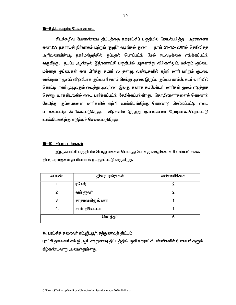### <u>15-9 திடக்கமிவு மேலாண்மை</u>

திடக்கழிவு மேலாண்மை திட்டத்தை நகராட்சிப் பகுதியில் செயல்படுத்த அரசாணை எண்.159 நகராட்சி நிர்வாகம் மற்றும் குடிநீர் வழங்கல் துறை நாள் 21–12–2001ல் தெரிவித்த அறிவுரையின்படி நகா்மன்றத்தில் ஒப்புதல் பெறப்பட்டு மேல் நடவடிக்கை எடுக்கப்பட்டு வருகிறது. நடப்பு ஆண்டில் இந்நகராட்சி பகுதியில் அனைத்து வீடுகளிலும், மக்கும் குப்பை, மக்காத குப்பைகள் என பிாித்து சுமாா் 75 தள்ளு வண்டிகளில் ஏற்றி லாாி மற்றும் குப்பை வண்டிகள் மூலம் வீடுவீடாக குப்பை சேகரம் செய்து அதை இரும்பு குப்பை காம்பேக்டா் லாாியில் கொட்டி நகா் முழுவதும் வைத்து அவற்றை இலகு, கனரக கம்பேக்டா் லாாிகள் மூலம் எடுத்துச் சென்று உரக்கிடஙகில் எடை பார்க்கப்பட்டு சேமிக்கப்படுகிறது. தொழிலாளர்களைக் கொண்டு சேமித்து குப்பைகளை லாாிகளில் ஏற்றி உரக்கிடங்கிற்கு கொண்டு செல்லப்பட்டு எடை பார்க்கப்பட்டு சேமிக்கப்படுகி<u>றத</u>ு. வீடுகளில் இருந்து குப்பைகளை நேரடியாகப்பெறப்பட்டு உரக்கிடஙகிற்கு எடுத்துச் செல்லப்படுகிறது.

### <u>15—10 திரையரங்குகள்</u>

இந்நகராட்சி பகுதியில் பொது மக்கள் பொழுது போக்கு வசதிக்காக 6 எண்ணிக்கை திரையரங்குகள் தனியாரால் நடத்தப்பட்டு வருகிறது.

| வ.எண். | திரையரங்குகள்  | எண்ணிக்கை |
|--------|----------------|-----------|
|        | ரமேஷ்          | 2         |
| 2.     | வள்ளுவா்       | 7         |
| 3.     | சந்தானகிருஷ்ணா |           |
| 4.     | சாமி தியேட்டர் |           |
|        | மொத்தம்        | 6         |

## 16. <u>புரட்சிக் கலைவர் எம்.ஜி. ஆர். சக்குணவுக் கிட்டம்</u>

புரட்சி தலைவா் எம்.ஜி.ஆா். சத்துணவு திட்டத்தில் பழநி நகராட்சி பள்ளிகளில் 6 மையங்களும் கீழ்கண்டவாறு அமைந்துள்ளது.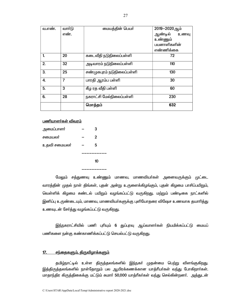| வ.எண்.           | வார்டு         | மையத்தின் பெயர்            | 2019-2020ஆம்    |
|------------------|----------------|----------------------------|-----------------|
|                  | எண்.           |                            | ஆண்டில்<br>உணவு |
|                  |                |                            | உண்ணும்         |
|                  |                |                            | பயனாளிகளின்     |
|                  |                |                            | எண்ணிக்கை       |
| 1.               | 20             | கடைவீதி நடுநிலைப்பள்ளி     | 72              |
| 2.               | 32             | அடிவாரம் நடுநிலைப்பள்ளி    | 110             |
| 3.               | 25             | சண்முகபுரம் நடுநிலைப்பள்ளி | 130             |
| $\overline{4}$ . | $\overline{7}$ | பாரதி ஆரம்ப பள்ளி          | 30              |
| 5.               | 3              | கீழ ரத வீதி பள்ளி          | 60              |
| 6.               | 28             | நகராட்சி மேல்நிலைப்பள்ளி   | 230             |
|                  |                | மொத்தம்                    | 632             |

## பணியாளர்கள் விவரம்

| அமைப்பாளா்   | 3 |
|--------------|---|
| சமையலா       | 2 |
| உதவி சமையலா் | 5 |
|              |   |
|              |   |

மேலும் சத்துணவு உண்ணும் மாணவ, மாணவியா்கள் அனைவருக்கும் முட்டை வாரத்தின் முதல் நாள் திங்கள், புதன் அன்று உருளைக்கிழங்கும், புதன் கிழமை பாசிப்பயிறும், வெள்ளிக் கிழமை சுண்டல் பயிறும் வழங்கப்பட்டு வருகிறது. மற்றும் பண்டிகை நாட்களில் இனிப்பு உருண்டையும், மாணவ, மாணவியா்களுக்கு புளியோதரை விஷேச உணவாக தயாாித்து உணவுடன் சேர்த்து வழங்கப்பட்டு வருகிறது.

இந்நகராட்சியில் பணி புரியும் 6 துப்புரவு ஆய்வாளர்கள் நியமிக்கப்பட்டு மையப் பணிகளை நன்கு கண்காணிக்கப்பட்டு செயல்பட்டு வருகிறது.

#### <u> சந்தைகளும், திருவிழாக்களும்</u> <u>17. </u>

தமிழ்நாட்டில் உள்ள திருத்தலங்களில் இந்நகர் முதன்மை பெற்று விளங்குகி<u>றது</u>. இத்திருத்தலங்களில் நாள்தோறும் பல ஆயிரக்கணக்கான யாத்ரீயர்கள் வந்து போகிறார்கள். மாதாந்திர கிருத்திகைக்கு மட்டும் சுமார் 50,000 யாத்ரீகர்கள் வந்து செல்கின்றனர். அத்துடன்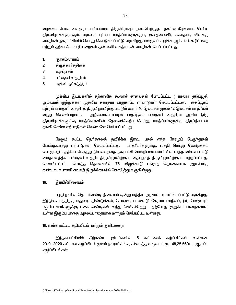வழக்கம் போல் உள்ளூா் மாாியம்மன் திருவிழாவும் நடைபெற்றது. நகாில் கீழ்கண்ட பொிய திருவிழாக்களுக்கும், வருகை புரியும் யாத்ரீயா்களுக்கும், குடிதண்ணீா், சுகாதார, விளக்கு வசதிகள் நகராட்சியில் செய்து கொடுக்கப்பட்டு வருகிறது. மலஜலம் கழிக்க ஆர்.சி.சி. கழிப்பறை மற்றும் தற்காலிக கழிப்பறைகள் தண்ணீர் வசதியுடன் வசதிகள் செய்யப்பட்டது.

- $1<sub>1</sub>$ <u>சூரசம்ஹாரம்</u>
- $2.$ திருக்கார்த்திகை
- தைப்பூசம் 3.
- 4. பங்குனி உத்திரம்
- 5. அக்னி நட்சத்திரம்

முக்கிய இடஙகளில் தற்காலிக கூரைச் சாலைகள் போடப்பட்ட ( காலரா தடுப்பூசி, அம்மைக் குத்துக்கள் முதலிய சுகாதார பாதுகாப்பு ஏற்பாடுகள் செய்யப்பட்டன. தைப்பூசம் மற்றும் பங்குனி உத்திரத் திருவிழாவிற்கு மட்டும் சுமார் 10 இலட்சம் முதல் 12 இலட்சம் யாத்ரீகள் அறிக்கையாண்டில் தைப்பூசம் பங்குனி உத்திரம் ஆகிய இரு வ<u>ந்து</u> செல்கின்றனர். திருவிழாக்களுக்கு யாத்ரீகா்களின் தேவைக்கேற்ப செய்து, யாத்ரீயா்களுக்கு திருப்தியுடன் தங்கி செல்ல ஏற்பாடுகள் செவ்வனே செய்யப்பட்ட<u>த</u>ு.

மேலும் கூட்ட நெரிசலைத் தவிா்க்க இரவு, பகல் எந்த நேரமும் பேருந்துகள் யாத்ரீயா்களுக்கு, வசதி செய்து கொடுக்கம் போக்குவரத்து ஏற்பாடுகள் செய்யப்பட்ட<u>த</u>ு. பொருட்டு மத்தியப் பேருந்து நிலையத்தை நகராட்சி மேல்நிலைப்பள்ளியில் பரந்த விளையாட்டு மைதானத்தில் பங்குனி உத்திர திருவிழாவிற்கும், தைப்பூசத் திருவிழாவிற்கும் மாற்றப்பட்டது. செலவிடப்பட்ட மொத்த தொகையில் 75 விழுக்காடு பங்குத் தொகையாக அருள்மிகு தண்டாயுதபாணி சுவாமி திருக்கோவில் கொடுத்து வருகின்றது.

#### $18.$ இரயில்நிலையம்

பழநி நகரில் தொடர்வண்டி நிலையம் ஒன்று மத்திய அரசால் பராமரிக்கப்பட்டு வருகிறது. இந்நிலையத்திற்கு மதுரை, திண்டுக்கல், கோவை, பாலகாடு கேரளா மாநிலம், இராமேஷ்வரம் ஆகிய ஊர்களுக்கு புகை வண்டிகள் வந்து செல்கின்றது. தற்போது குறுகிய பாதைகளாக உள்ள இரும்பு பாதை அகலப்பாதையாக மாற்றம் செய்யப்பட உள்ளது.

# 19. நவீன கட்டிட கழிப்பிடம் மற்றும் குளியலறை

கீழ்கண்ட இடங்களில் 5 கட்டணக் கழிப்பிங்கள் இந்நகராட்சியில் உள்ளன. 2019-2020 கட்டண கழிப்பிடம் மூலம் நகராட்சிக்கு கிடைத்த வருவாய் ரூ. 48,25,560/- ஆகும். குழிப்பிடங்கள்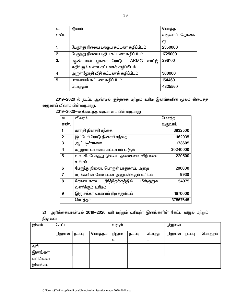| ഖ.             | ஜீவரம்                                | மொத்த        |  |
|----------------|---------------------------------------|--------------|--|
| எண்.           |                                       | வருவாய் தொகை |  |
|                |                                       | ሮҦ.          |  |
| $\mathbf{1}$   | பேருந்து நிலைய பழைய கட்டண கழிப்பிடம்  | 2350000      |  |
| 2.             | பேருந்து நிலைய புதிய கட்டண கழிப்பிடம் | 1725000      |  |
| 3.             | லாட்ஜ்<br>ஆண்டவன் பூஙகா ரோடு  AKMG    | 296100       |  |
|                | எதிர்புறம் உள்ள கட்டணக் கழிப்பிடம்    |              |  |
| $\overline{a}$ | அருள்ஜோதி வீதி கட்டணக் கழிப்பிடம்     | 300000       |  |
| 5.             | பாளையம் கட்டண கழிப்பிடம்              | 154460       |  |
|                | மொத்தம்                               | 4825560      |  |

2019-2020 ல் நடப்பு ஆண்டில் குத்தகை மற்றும் உரிம இனங்களின் மூலம் கிடைத்த வருவாய் விவரம் பின்வருமாறு.

|                | விவரம்                                     |          |
|----------------|--------------------------------------------|----------|
| ഖ.             |                                            | மொத்த    |
| எண்.           |                                            | வருவாய்  |
| 1              | காந்தி தினசரி சந்தை                        | 3832500  |
| $\overline{2}$ | இட்டேரி ரோடு தினசரி சந்தை                  | 1162035  |
| 3              | ஆட்டடிச்சாலை                               | 178605   |
| 4              | சுற்றுலா வாகனம் கட்டணம் வசூல்              | 30240000 |
| 5              | வ.உ.சி. பேருந்து நிலைய தலைசுமை விற்பனை     | 220500   |
|                | உரிமம்                                     |          |
| 6              | பேருந்து நிலைய பொருள் பாதுகாப்பு அறை       | 200000   |
| $\overline{7}$ | மரங்களின் மேல் பலன் அனுபவிக்கும் உரிமம்    | 9930     |
| 8              | நீா்த்தேக்கத்தில்<br>மீன்குஞ்சு<br>கோடைகால | 54075    |
|                | வளர்க்கும் உரிமம்                          |          |
| 9              | இரு சக்கர வாகனம் நிறுத்துமிடம்             | 1670000  |
|                | மொத்தம்                                    | 37567645 |
|                |                                            |          |

2019-2020-ல் கிடைத்த வருமானம் பின்வருமாறு

21 அறிக்கையாண்டில் 2019-2020 வரி மற்றும் வரியற்ற இனங்களின் கேட்பு வசூல் மற்றும் நிலுவை

| இனம்      | கேட்பு |        |         | வசூல் |        |       | நிலுவை |        |         |
|-----------|--------|--------|---------|-------|--------|-------|--------|--------|---------|
|           | நிலுவை | நடப்பு | மொத்தம் | நிலுை | நடப்பு | மொத்த | நிலுவை | நடப்பு | மொத்தம் |
|           |        |        |         | ഖ     |        | ம்    |        |        |         |
| வரி       |        |        |         |       |        |       |        |        |         |
| இனங்கள்   |        |        |         |       |        |       |        |        |         |
| வரியில்லா |        |        |         |       |        |       |        |        |         |
| இனங்கள்   |        |        |         |       |        |       |        |        |         |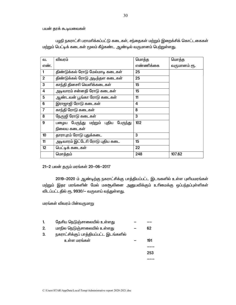பயன் தரக் கூடியவைகள்

பழநி நகராட்சி பராமரிக்கப்பட்டு கடைகள், சந்தைகள் மற்றும் இறைக்சிக் கொட்டகைகள் மற்றும் பெட்டிக் கடைகள் மூலம் கீழ்கண்ட ஆண்டில் வருமானம் பெற்றுள்ளது.

| ഖ.             | விவரம்                               | மொத்த     | மொத்த        |
|----------------|--------------------------------------|-----------|--------------|
| எண்.           |                                      | எண்ணிக்கை | வருமானம் ரூ. |
| 1              | திண்டுக்கல் ரோடு மேல்மாடி கடைகள்     | 25        |              |
| $\overline{2}$ | திண்டுக்கல் ரோடு அடித்தள கடைகள்      | 25        |              |
| 3              | காந்தி தினசரி வெளிக்கடைகள்           | 15        |              |
| 4              | அடிவாரம் சன்னதி ரோடு கடைகள்          | 15        |              |
| 5              | ஆண்டவன் பூங்கா ரோடு கடைகள்           | 11        |              |
| 6              | இராஜாஜி ரோடு கடைகள்                  | 4         |              |
| $\overline{7}$ | காந்தி ரோடு கடைகள்                   | 8         |              |
| 8              | நேருஜி ரோடு கடைகள்                   | 3         |              |
| 9              | பழைய பேருந்து மற்றும் புதிய பேருந்து | 102       |              |
|                | நிலைய கடைகள்                         |           |              |
| 10             | தாராபுரம் ரோடு புதுக்கடை             | 3         |              |
| 11             | அடிவாரம் இட்டேரி ரோடு புதிய கடை      | 15        |              |
| 12             | பெட்டிக் கடைகள்                      | 22        |              |
|                | மொத்தம்                              | 248       | 107.62       |

21-2 பலன் தரும் மரங்கள் 20-06-2017

2019-2020 ம் ஆண்டிற்கு நகராட்சிக்கு பாத்தியப்பட்ட இடஙகளில் உள்ள புளியமரங்கள் மற்றும் இதர மரங்களின் மேல் மகசூலினை அனுபவிக்கும் உரிமைக்கு ஒப்பந்தப்புள்ளிகள் விடப்பட்டதில் ரூ. 9930/— வருவாய் வந்துள்ளது.

மரங்கள் விவரம் பின்வருமாறு

| 1. | தேசிய நெடுஞ்சாலையில் உள்ளது            |     |
|----|----------------------------------------|-----|
| 2. | மாநில நெடுஞ்சாலையில் உள்ளது            | 62  |
| 3. | நகராட்சிக்குப் பாத்தியப்பட்ட இடங்களில் |     |
|    | உள்ள மரங்கள்                           | 191 |
|    |                                        |     |
|    |                                        | 253 |
|    |                                        |     |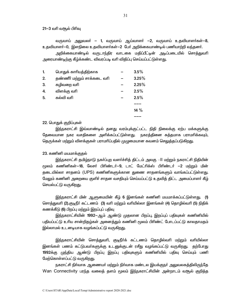21—3 வரி வசூல் பிரிவு

வருவாய் அலுவலா் — 1, வருவாய் ஆய்வாளா் —2, வருவாய் உதவியாளா்கள்—8, உதவியாளா்—0, இளநிலை உதவியாளா்கள்—2 போ் அறிக்கையாண்டில் பணியாற்றி வந்தனா்.

அறிக்கையாண்டில் வருடாந்திர வாடகை மதிப்பீட்டின் அடிப்படையில் சொத்துவரி அரையாண்டிற்கு கீழ்க்கண்ட விவரப்படி வரி விதிப்பு செய்யப்பட்டுள்ளது.

| $\mathbf{1}$ | பொதுக் காரியத்திற்காக       | 3.5%  |
|--------------|-----------------------------|-------|
| 2.           | தண்ணீர் மற்றும் சாக்கடை வரி | 3.25% |
| 3.           | கழிவறை வரி                  | 2.25% |
| 4.           | விளக்கு வரி                 | 2.5%  |
| 5.           | கல்வி வரி                   | 2.5%  |
|              |                             |       |
|              |                             | 14 %  |
|              |                             |       |

### 22. பொதுக் குறிப்புகள்

இந்நகராட்சி இவ்வாண்டில் தனது வரம்புக்குட்பட்ட நிதி நிலைக்கு ஏற்ப மக்களுக்கு தேவையான நகர வசதிகளை அளிக்கப்பட்டுள்ளது. நகரத்தினை சுத்தமாக பராமாிக்கவும், தெருக்கள் மற்றும் விளக்குகள் பராமரிப்பதில் முழுமையான கவனம் செலுத்தப்படுகிறது.

### 23. கணினி மயமாக்குதல்

இந்நகராட்சி தமிழ்நாடு நகா்ப்புற வளா்ச்சித் திட்டம் அலகு —ll மற்றும் நகராட்சி நிதியின் மூலம் கணினிகள்—18, லேசா் பிாிண்டா்—9, டாட் மேட்ாிக்ஸ் பிாிண்டா் —2 மற்றும் மின் தடையில்லா சாதனம் (UPS) கணினிகளுக்கான துணை சாதனங்களும் வாங்கப்பட்டுள்ளது. மேலும் கணினி அறையை குளிர் சாதன வசதியும் செய்யப்பட்டு உதவித் திட்ட அமைப்பாளர் கீழ் செயல்பட்டு வருகிறது.

<u>இந்ந</u>கராட்சி மின் ஆளுமையின் கீழ் 6 இனங்கள் கணினி மயமாக்கப்பட்டுள்ளது. (**1**) சொத்துவரி (2).குடிநீா் கட்டணம் (3) வாி மற்றும் வாியில்லா இனங்கள் (4) தொழில்வாி (5) நிதிக் கணக்கீடு (6) பிறப்பு மற்றும் இறப்புப் பதிவு

இந்நகராட்சியின் 1992—ஆம் ஆண்டு முதலான பிறப்பு, இறப்புப் பதிவுகள் கணினியில் பதியப்பட்டு உரிய சான்றிதழ்கள் அனைத்தும் கணினி மூலம் பிரிண்ட் போடப்பட்டு காலதாமதம் இல்லாமல் உடனடியாக வழங்கப்பட்டு வருகிறது.

<u>இந்ந</u>கராட்சியின் சொத்துவரி, குடிநீர்க் கட்டணம் தொழில்வரி மற்றும் வரியில்லா இனங்கள் பணம் கட்டுபவா்களுக்கு உடனுக்குடன் ரசீது வழங்கப்பட்டு வருகிறது. தற்போது 1992க்கு முந்திய ஆண்டு பிறப்பு இறப்பு பதிவுகளும் கணினியில் பதிவு செய்யும் பணி மேற்கொள்ளப்பட்டு வருகிறது.

நகராட்சி நிா்வாக ஆணையா் மற்றும் நிா்வாக மண்டல இயக்குநா் அலுவலகத்திலிருந்தே Wan Connectivity பரந்த வலைத் தளம் மூலம் இந்நகராட்சியின் அன்றாடம் வசூல் குறித்த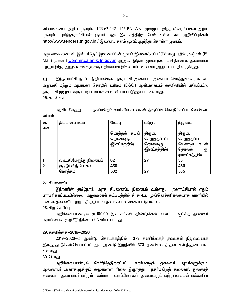விவரங்களை அறிய முடியும். 123.63.242.116/ PALANI மூலமும் இந்த விவரங்கைள அறிய முடியும். <u>இந்ந</u>கராட்சியின் ரூபாய் ஒரு இலட்சத்திற்கு மேல் உள்ள ஏல அறிவிப்புக்கள் http://www.tenders.tn.gov.in / இணைய களம் மூலம் அறிந்து கொள்ள முடியும்.

அலுவலக கணினி இன்டா்நெட் இணைப்பின் மூலம் இணைக்கப்பட்டுள்ளது. மின் அஞ்சல் (E-Mail) முகவரி Commr.palani@tn.gov.in ஆகும். இதன் மூலம் நகராட்சி நிர்வாக ஆணையர் மற்றும் இதர அலுவலகங்களுக்கு பதில்களை இ—மெயில் மூலங்ம அனுப்பப்பட்டு வருகிறது.

உ) <u>இந்ந</u>கராட்சி நடப்பு நிதியாண்டில் நகராட்சி அசையும், அசையா சொத்துக்கள், கட்டிட அனுமதி மற்றும் அபாயகர தொழில் உரிமம் (D&O) ஆகியவையும் கணினியில் பதியப்பட்டு, நகராட்சி முழுமைக்கும் படிப்படியாக கணினி மயப்படுத்தப்பட உள்ளது. 26. கடன்கள்

அரசிடமிரு<u>ந்</u>து நகர்மன்றம் வாங்கிய கடன்கள் திருப்பிக் கொடுக்கப்பட வேண்டிய விபாம்

| ഖ.             | திட்ட விபரங்கள்         | கேட்பு          | வசூல்         | நிலுவை        |
|----------------|-------------------------|-----------------|---------------|---------------|
| எண்            |                         |                 |               |               |
|                |                         | மொத்தக்<br>கடன் | திரும்ப       | திரும்ப       |
|                |                         | தொகைரூ.         | செலுத்தப்பட்ட | செலுத்தப்பட   |
|                |                         | (இலட்சத்தில்)   | தொகைரூ.       | வேண்டிய கடன்  |
|                |                         |                 | (இலட்சத்தில்) | தொகை<br>ሮҦ.   |
|                |                         |                 |               | (இலட்சத்தில்) |
|                | வ.உ.சி.பேருந்து நிலையம் | 82              | 27            | 55            |
| $\mathfrak{p}$ | குடிநீா் விநியோகம்      | 450             |               | 450           |
|                | மொத்தம்                 | 532             | 27            | 505           |

## 27. தீயணைப்பு

இந்நகரின் தமிழ்நாடு அரசு தீயணைப்பு நிலையம் உள்ளது. நகராட்சியால் ஏதும் பராமாிக்கப்படவில்லை. அலுவலகக் கட்டிடத்தில் தீ தடுப்பு முன்னெச்சாிக்கையாக வாளியில் மணல், தண்ணீா் மற்றும் தீ தடுப்பு சாதனங்கள் வைக்கப்பட்டுள்ளன.

# 28. சிறு சேமிப்பு

அறிக்கையாண்டில் ரூ.100.00 இலட்சங்கள் திண்டுக்கல் மாவட்ட ஆட்சித் தலைவர் அவா்களால் குறியீடு நிா்ணயம் செய்யப்பட்டது.

## 29. தணிக்கை-2019-2020

2019-2020-ம் ஆண்டு தொடக்கத்தில் 373 தணிக்கைத் தடைகள் நிலுவையாக இருந்தது. நீக்கம் செய்யப்பட்டது. ஆண்டு இறுதியில் 373 தணிக்கைத் தடைகள் நிலுவையாக உள்ளது.

### 30. பொ<u>க</u>ு

தோ்ந்தெடுக்கப்பட்ட அறிக்கையாண்டில் நகர்மன்றத் தலைவா் அவா்களுக்கும், ஆணையா் அவா்களுக்கும் சுமூகமான நிலை இருந்தது. நகா்மன்றத் தலைவா், துணைத் தலைவர், ஆணையர் மற்றும் நகர்மன்ற உறுப்பினர்கள் அனைவரும் ஒற்றுமையுடன் மக்களின்